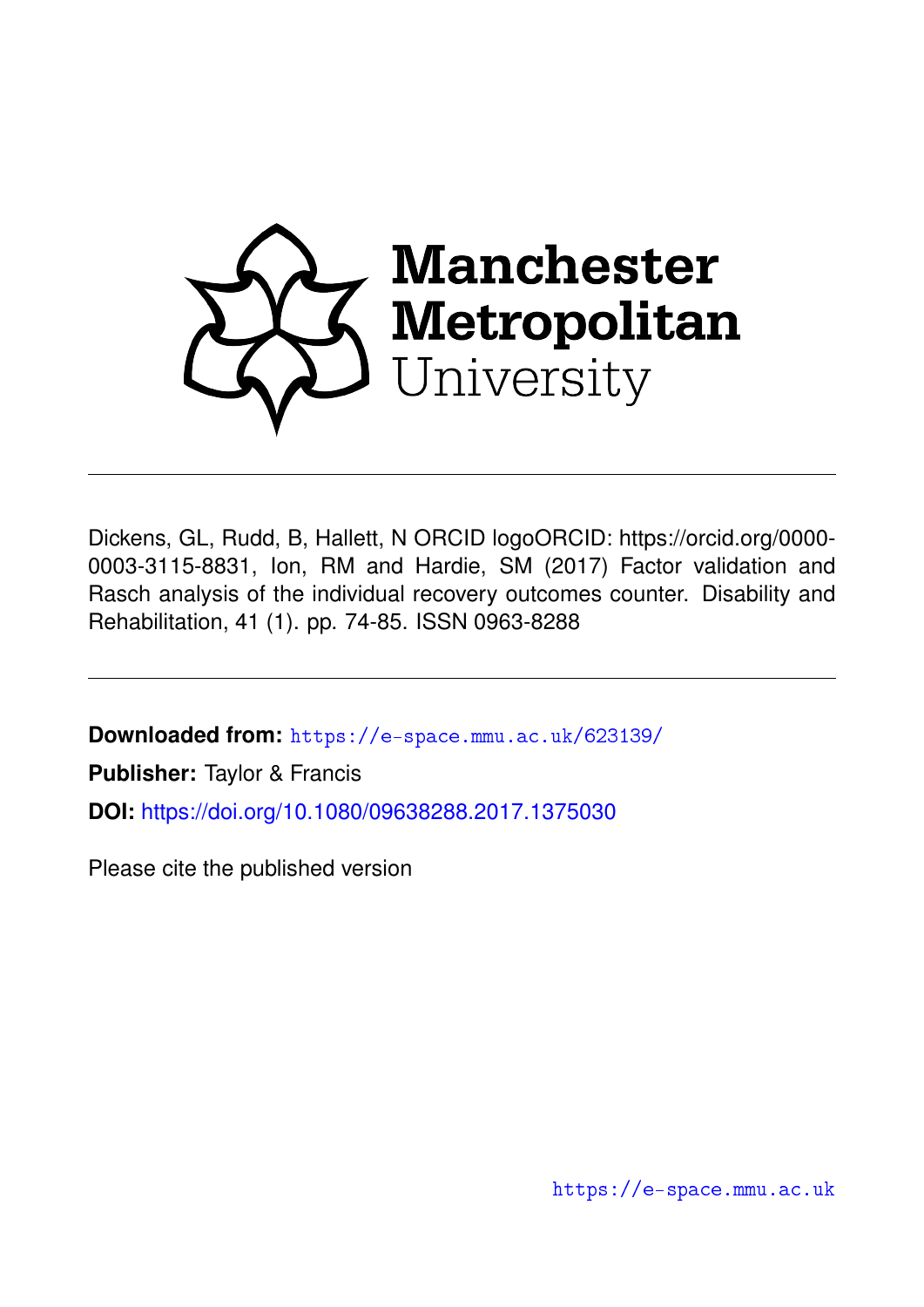

Dickens, GL, Rudd, B, Hallett, N ORCID logoORCID: https://orcid.org/0000- 0003-3115-8831, Ion, RM and Hardie, SM (2017) Factor validation and Rasch analysis of the individual recovery outcomes counter. Disability and Rehabilitation, 41 (1). pp. 74-85. ISSN 0963-8288

**Downloaded from:** <https://e-space.mmu.ac.uk/623139/>

**Publisher:** Taylor & Francis

**DOI:** <https://doi.org/10.1080/09638288.2017.1375030>

Please cite the published version

<https://e-space.mmu.ac.uk>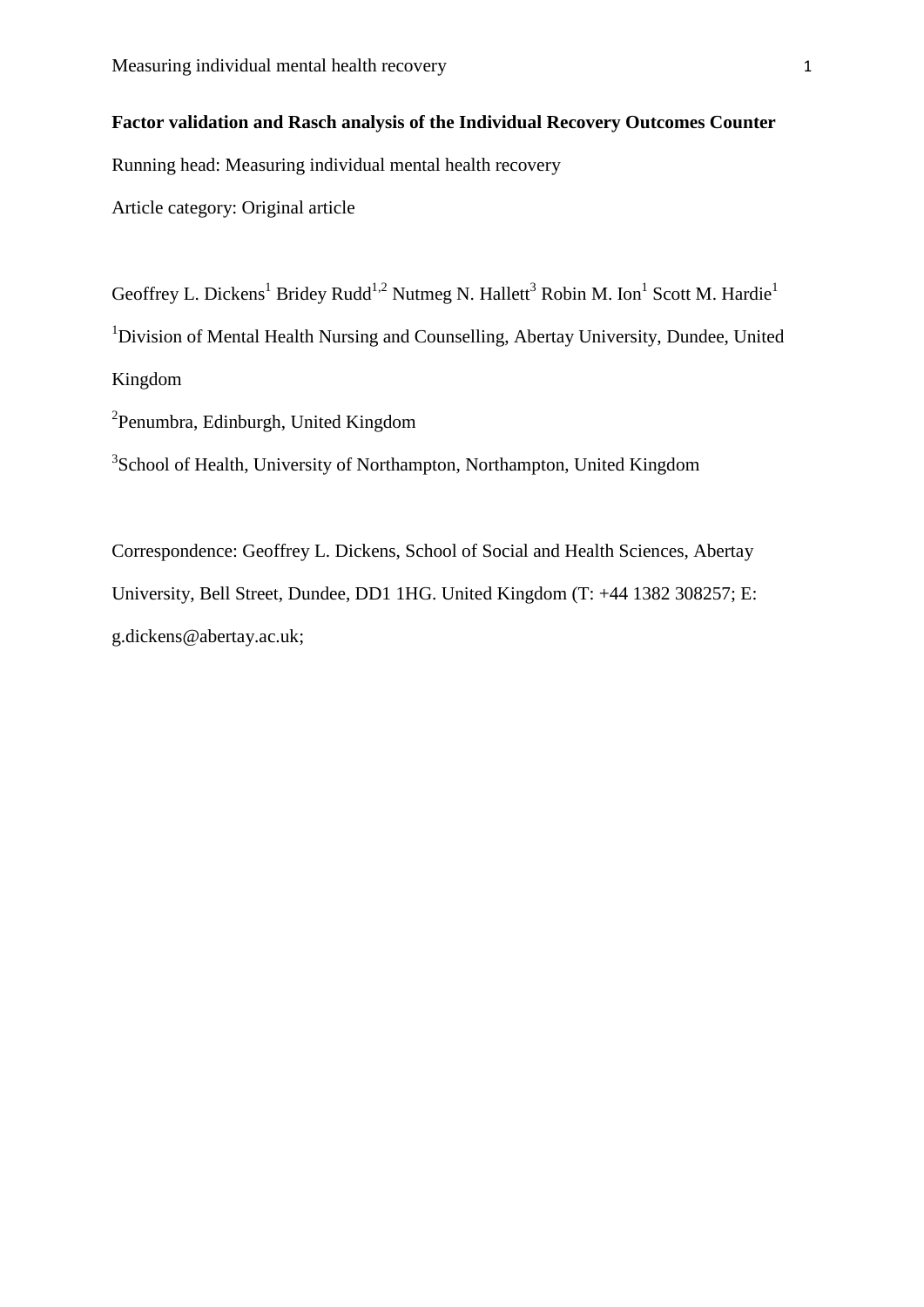# **Factor validation and Rasch analysis of the Individual Recovery Outcomes Counter**

Running head: Measuring individual mental health recovery

Article category: Original article

Geoffrey L. Dickens<sup>1</sup> Bridey Rudd<sup>1,2</sup> Nutmeg N. Hallett<sup>3</sup> Robin M. Ion<sup>1</sup> Scott M. Hardie<sup>1</sup> <sup>1</sup>Division of Mental Health Nursing and Counselling, Abertay University, Dundee, United Kingdom

<sup>2</sup>Penumbra, Edinburgh, United Kingdom

<sup>3</sup>School of Health, University of Northampton, Northampton, United Kingdom

Correspondence: Geoffrey L. Dickens, School of Social and Health Sciences, Abertay University, Bell Street, Dundee, DD1 1HG. United Kingdom (T: +44 1382 308257; E: g.dickens@abertay.ac.uk;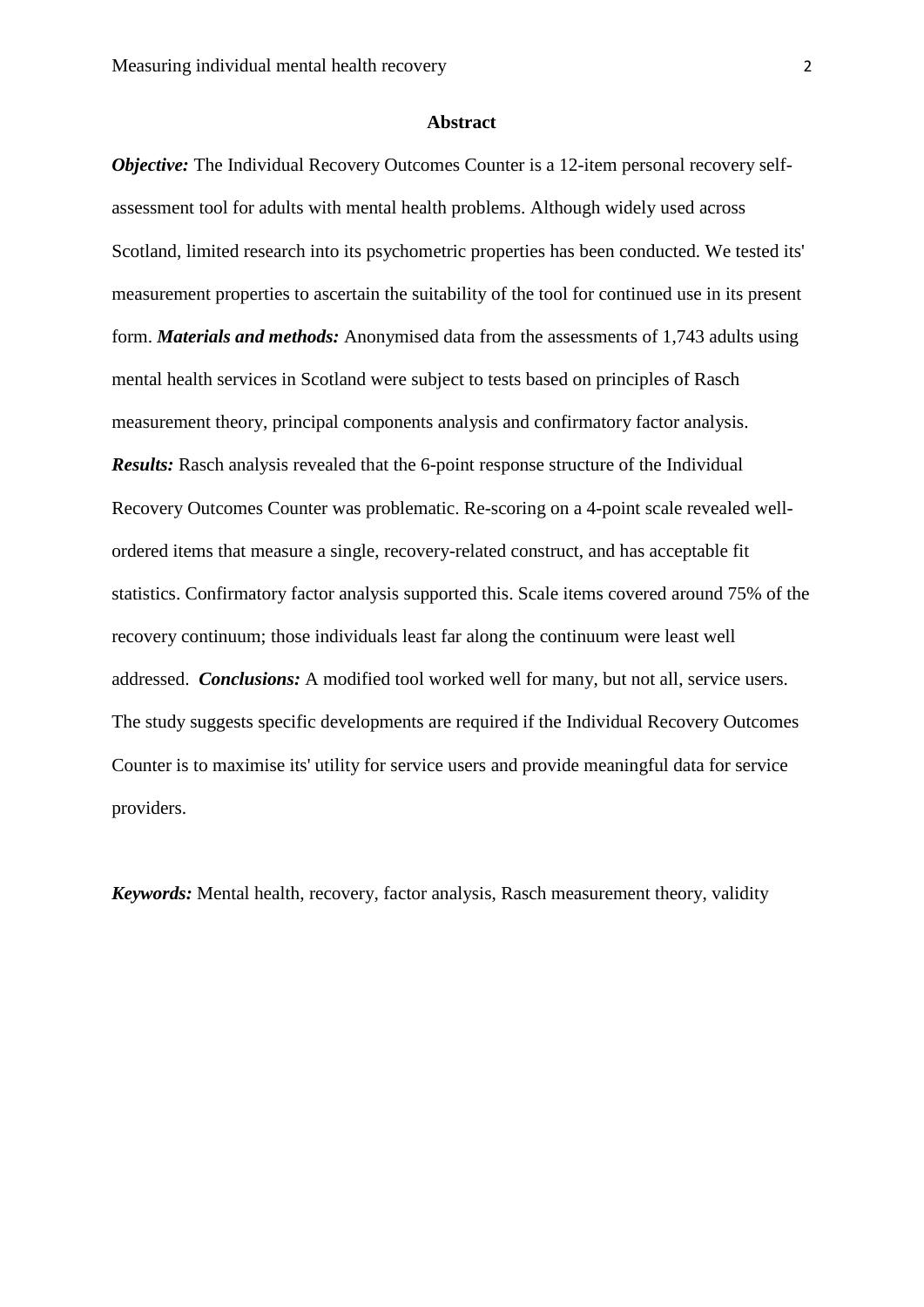#### **Abstract**

*Objective:* The Individual Recovery Outcomes Counter is a 12-item personal recovery selfassessment tool for adults with mental health problems. Although widely used across Scotland, limited research into its psychometric properties has been conducted. We tested its' measurement properties to ascertain the suitability of the tool for continued use in its present form. *Materials and methods:* Anonymised data from the assessments of 1,743 adults using mental health services in Scotland were subject to tests based on principles of Rasch measurement theory, principal components analysis and confirmatory factor analysis. *Results:* Rasch analysis revealed that the 6-point response structure of the Individual Recovery Outcomes Counter was problematic. Re-scoring on a 4-point scale revealed wellordered items that measure a single, recovery-related construct, and has acceptable fit statistics. Confirmatory factor analysis supported this. Scale items covered around 75% of the recovery continuum; those individuals least far along the continuum were least well addressed. *Conclusions:* A modified tool worked well for many, but not all, service users. The study suggests specific developments are required if the Individual Recovery Outcomes Counter is to maximise its' utility for service users and provide meaningful data for service providers.

*Keywords:* Mental health, recovery, factor analysis, Rasch measurement theory, validity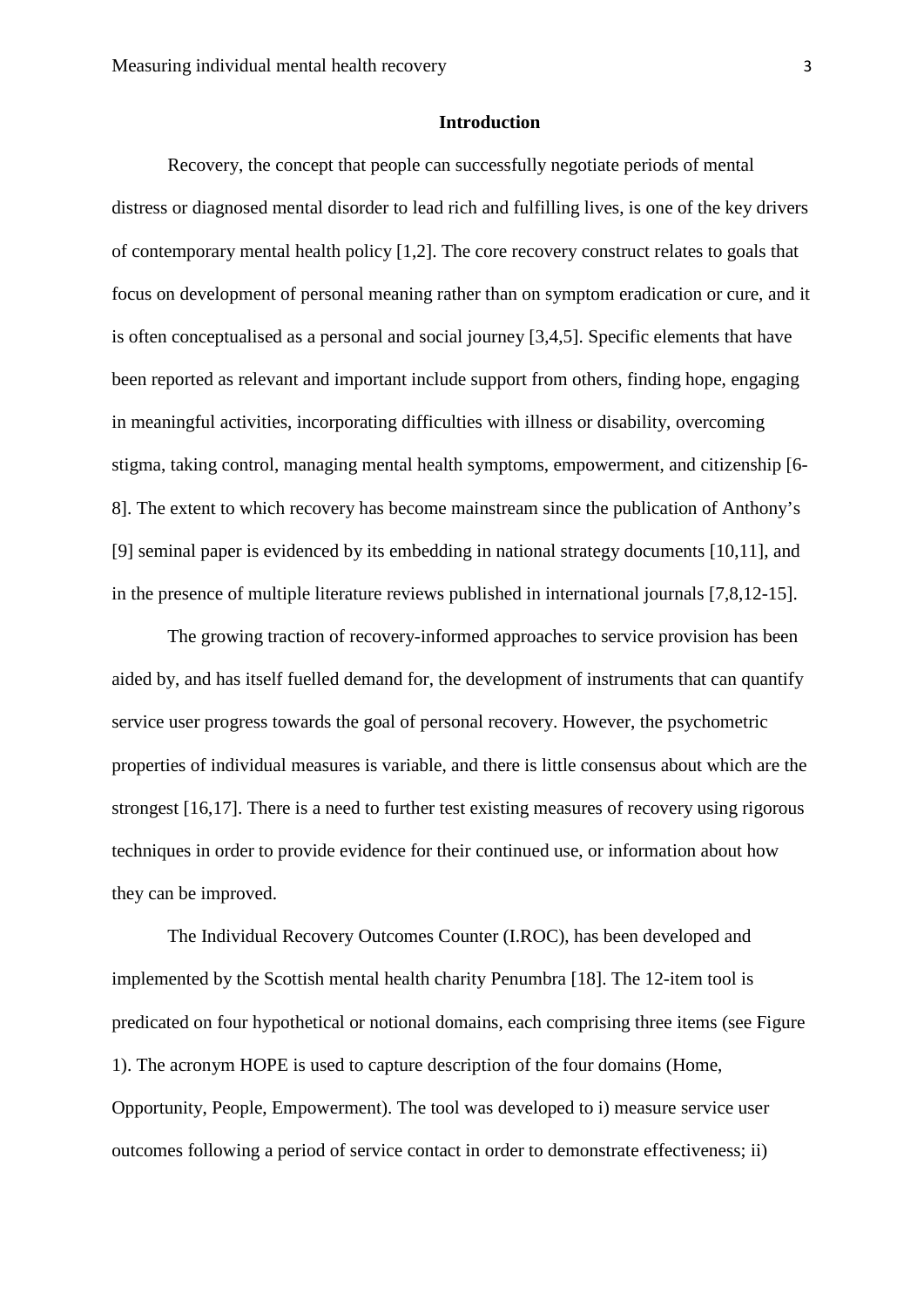#### **Introduction**

Recovery, the concept that people can successfully negotiate periods of mental distress or diagnosed mental disorder to lead rich and fulfilling lives, is one of the key drivers of contemporary mental health policy [1,2]. The core recovery construct relates to goals that focus on development of personal meaning rather than on symptom eradication or cure, and it is often conceptualised as a personal and social journey [3,4,5]. Specific elements that have been reported as relevant and important include support from others, finding hope, engaging in meaningful activities, incorporating difficulties with illness or disability, overcoming stigma, taking control, managing mental health symptoms, empowerment, and citizenship [6- 8]. The extent to which recovery has become mainstream since the publication of Anthony's [9] seminal paper is evidenced by its embedding in national strategy documents [10,11], and in the presence of multiple literature reviews published in international journals [7,8,12-15].

The growing traction of recovery-informed approaches to service provision has been aided by, and has itself fuelled demand for, the development of instruments that can quantify service user progress towards the goal of personal recovery. However, the psychometric properties of individual measures is variable, and there is little consensus about which are the strongest [16,17]. There is a need to further test existing measures of recovery using rigorous techniques in order to provide evidence for their continued use, or information about how they can be improved.

The Individual Recovery Outcomes Counter (I.ROC), has been developed and implemented by the Scottish mental health charity Penumbra [18]. The 12-item tool is predicated on four hypothetical or notional domains, each comprising three items (see Figure 1). The acronym HOPE is used to capture description of the four domains (Home, Opportunity, People, Empowerment). The tool was developed to i) measure service user outcomes following a period of service contact in order to demonstrate effectiveness; ii)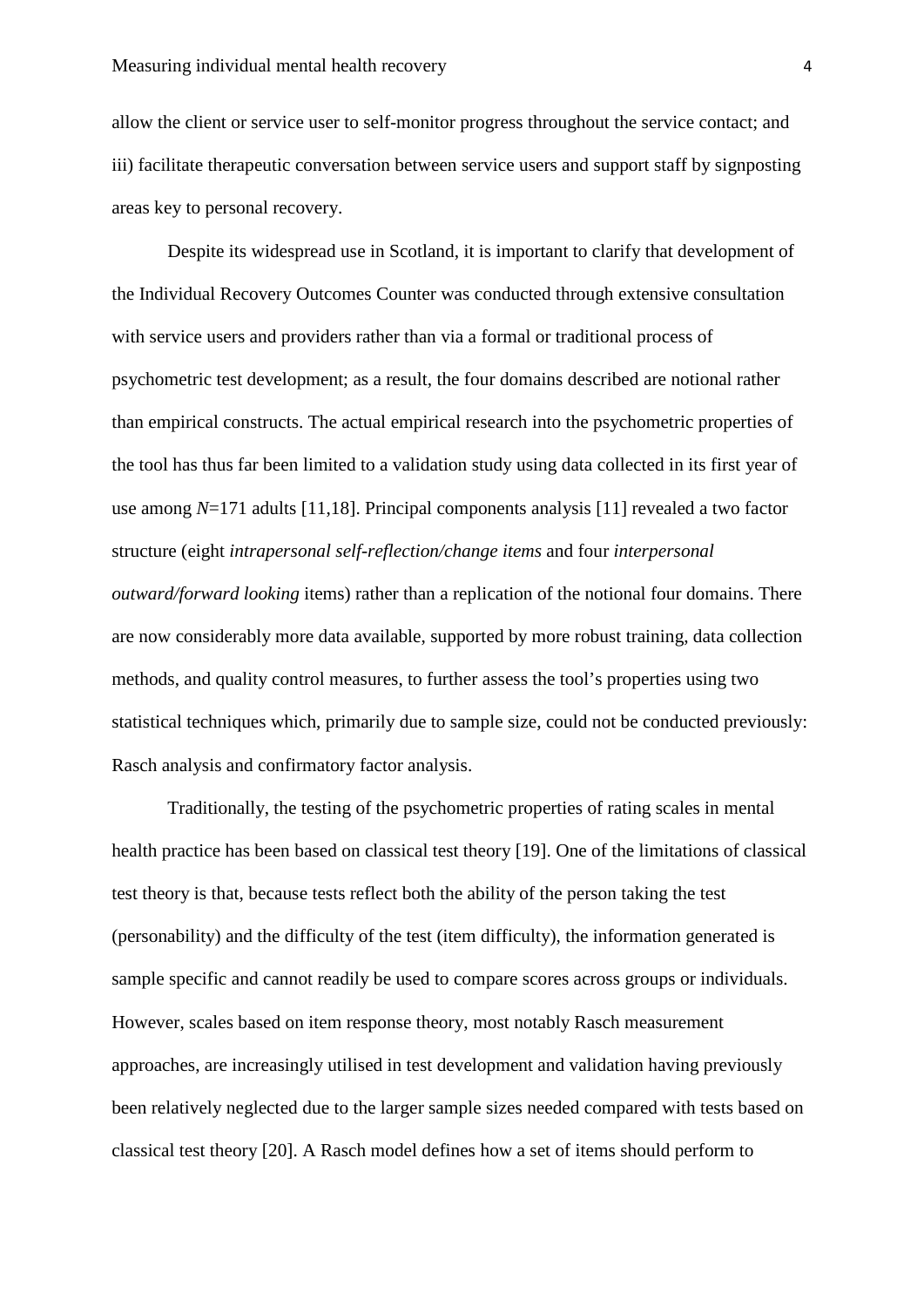allow the client or service user to self-monitor progress throughout the service contact; and iii) facilitate therapeutic conversation between service users and support staff by signposting areas key to personal recovery.

Despite its widespread use in Scotland, it is important to clarify that development of the Individual Recovery Outcomes Counter was conducted through extensive consultation with service users and providers rather than via a formal or traditional process of psychometric test development; as a result, the four domains described are notional rather than empirical constructs. The actual empirical research into the psychometric properties of the tool has thus far been limited to a validation study using data collected in its first year of use among *N*=171 adults [11,18]. Principal components analysis [11] revealed a two factor structure (eight *intrapersonal self-reflection/change items* and four *interpersonal outward/forward looking* items) rather than a replication of the notional four domains. There are now considerably more data available, supported by more robust training, data collection methods, and quality control measures, to further assess the tool's properties using two statistical techniques which, primarily due to sample size, could not be conducted previously: Rasch analysis and confirmatory factor analysis.

Traditionally, the testing of the psychometric properties of rating scales in mental health practice has been based on classical test theory [19]. One of the limitations of classical test theory is that, because tests reflect both the ability of the person taking the test (personability) and the difficulty of the test (item difficulty), the information generated is sample specific and cannot readily be used to compare scores across groups or individuals. However, scales based on item response theory, most notably Rasch measurement approaches, are increasingly utilised in test development and validation having previously been relatively neglected due to the larger sample sizes needed compared with tests based on classical test theory [20]. A Rasch model defines how a set of items should perform to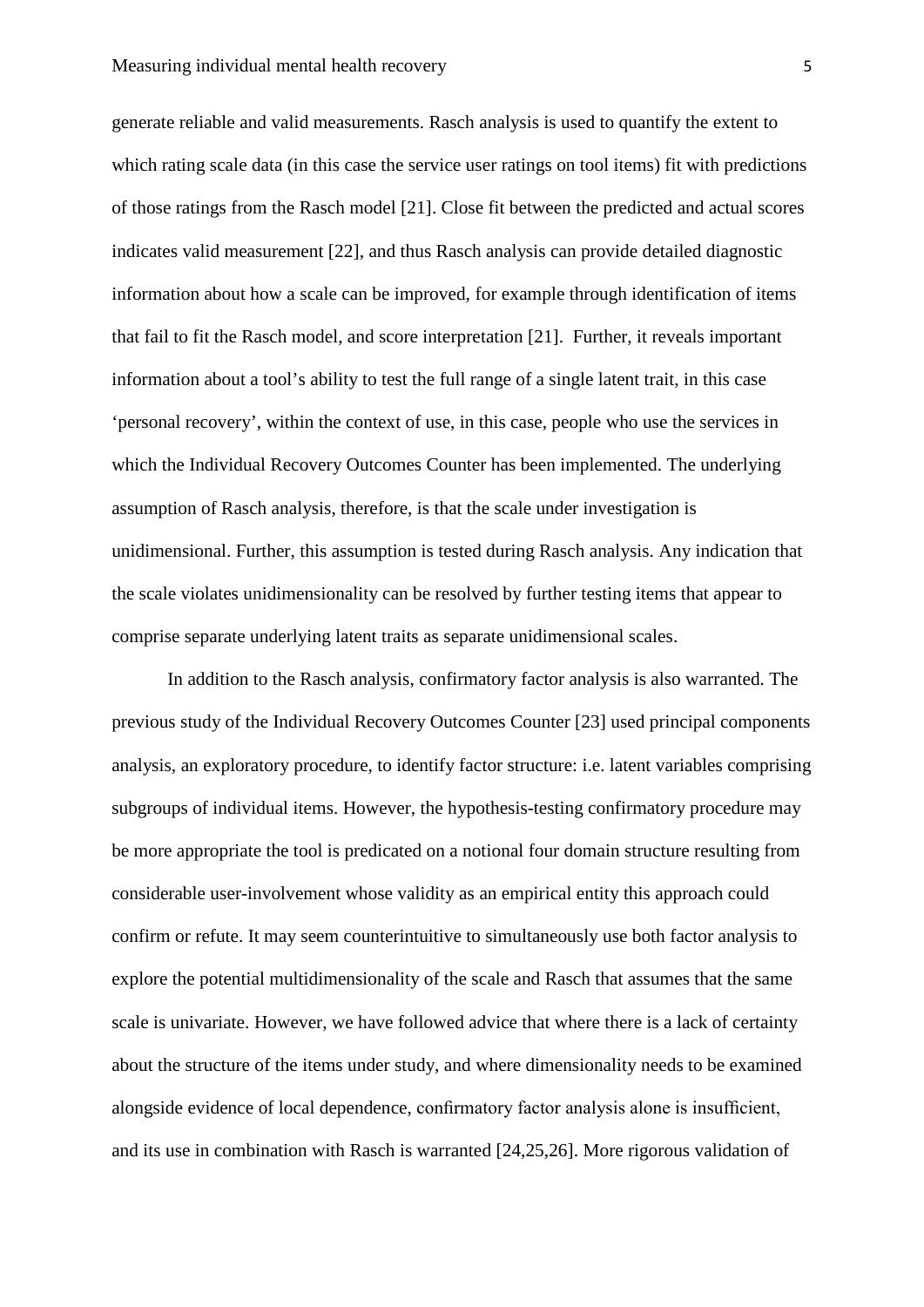generate reliable and valid measurements. Rasch analysis is used to quantify the extent to which rating scale data (in this case the service user ratings on tool items) fit with predictions of those ratings from the Rasch model [21]. Close fit between the predicted and actual scores indicates valid measurement [22], and thus Rasch analysis can provide detailed diagnostic information about how a scale can be improved, for example through identification of items that fail to fit the Rasch model, and score interpretation [21]. Further, it reveals important information about a tool's ability to test the full range of a single latent trait, in this case 'personal recovery', within the context of use, in this case, people who use the services in which the Individual Recovery Outcomes Counter has been implemented. The underlying assumption of Rasch analysis, therefore, is that the scale under investigation is unidimensional. Further, this assumption is tested during Rasch analysis. Any indication that the scale violates unidimensionality can be resolved by further testing items that appear to comprise separate underlying latent traits as separate unidimensional scales.

In addition to the Rasch analysis, confirmatory factor analysis is also warranted. The previous study of the Individual Recovery Outcomes Counter [23] used principal components analysis, an exploratory procedure, to identify factor structure: i.e. latent variables comprising subgroups of individual items. However, the hypothesis-testing confirmatory procedure may be more appropriate the tool is predicated on a notional four domain structure resulting from considerable user-involvement whose validity as an empirical entity this approach could confirm or refute. It may seem counterintuitive to simultaneously use both factor analysis to explore the potential multidimensionality of the scale and Rasch that assumes that the same scale is univariate. However, we have followed advice that where there is a lack of certainty about the structure of the items under study, and where dimensionality needs to be examined alongside evidence of local dependence, confirmatory factor analysis alone is insufficient, and its use in combination with Rasch is warranted [24,25,26]. More rigorous validation of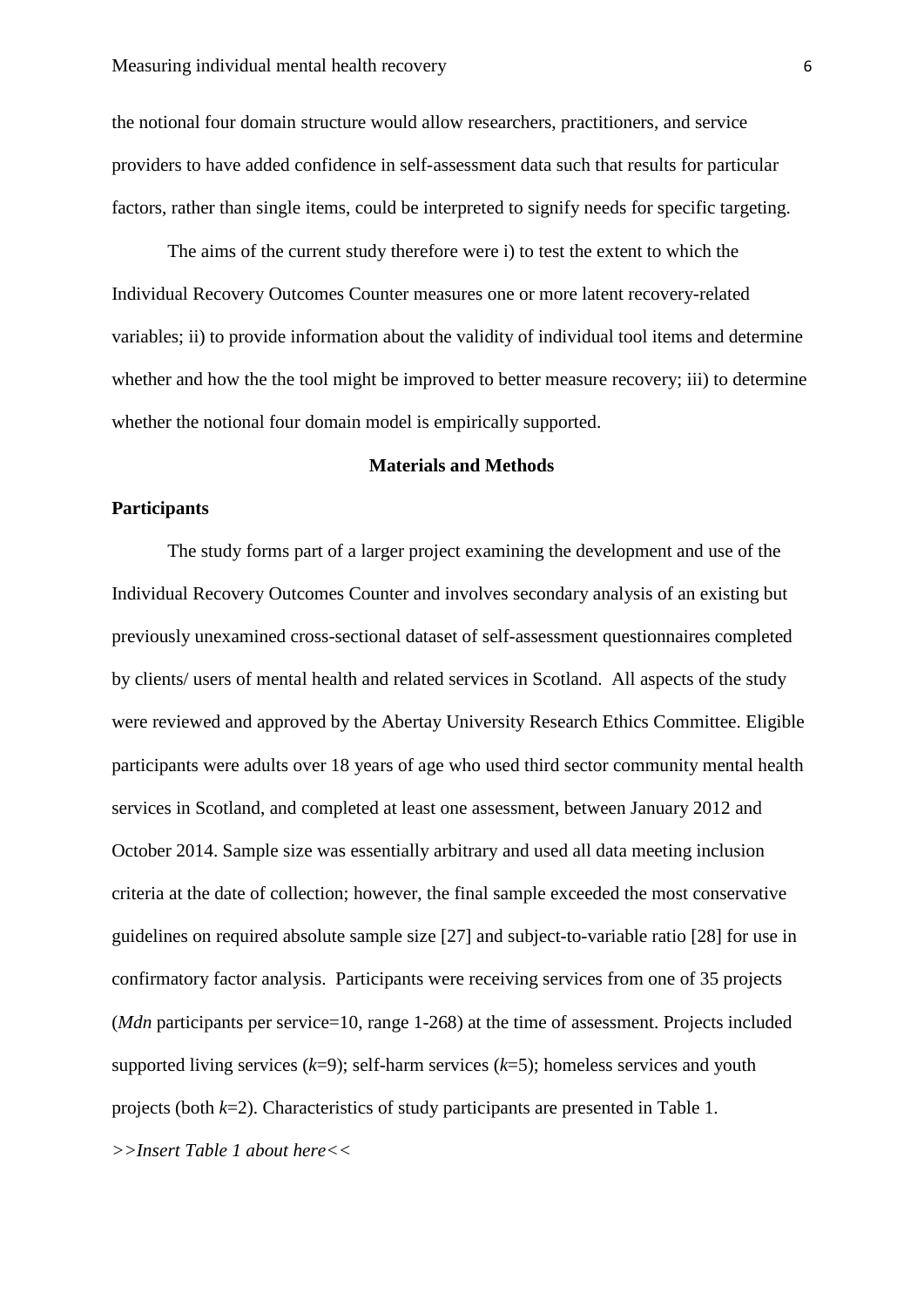the notional four domain structure would allow researchers, practitioners, and service providers to have added confidence in self-assessment data such that results for particular factors, rather than single items, could be interpreted to signify needs for specific targeting.

The aims of the current study therefore were i) to test the extent to which the Individual Recovery Outcomes Counter measures one or more latent recovery-related variables; ii) to provide information about the validity of individual tool items and determine whether and how the the tool might be improved to better measure recovery; iii) to determine whether the notional four domain model is empirically supported.

### **Materials and Methods**

## **Participants**

The study forms part of a larger project examining the development and use of the Individual Recovery Outcomes Counter and involves secondary analysis of an existing but previously unexamined cross-sectional dataset of self-assessment questionnaires completed by clients/ users of mental health and related services in Scotland. All aspects of the study were reviewed and approved by the Abertay University Research Ethics Committee. Eligible participants were adults over 18 years of age who used third sector community mental health services in Scotland, and completed at least one assessment, between January 2012 and October 2014. Sample size was essentially arbitrary and used all data meeting inclusion criteria at the date of collection; however, the final sample exceeded the most conservative guidelines on required absolute sample size [27] and subject-to-variable ratio [28] for use in confirmatory factor analysis. Participants were receiving services from one of 35 projects (*Mdn* participants per service=10, range 1-268) at the time of assessment. Projects included supported living services  $(k=9)$ ; self-harm services  $(k=5)$ ; homeless services and youth projects (both *k*=2). Characteristics of study participants are presented in Table 1. *>>Insert Table 1 about here<<*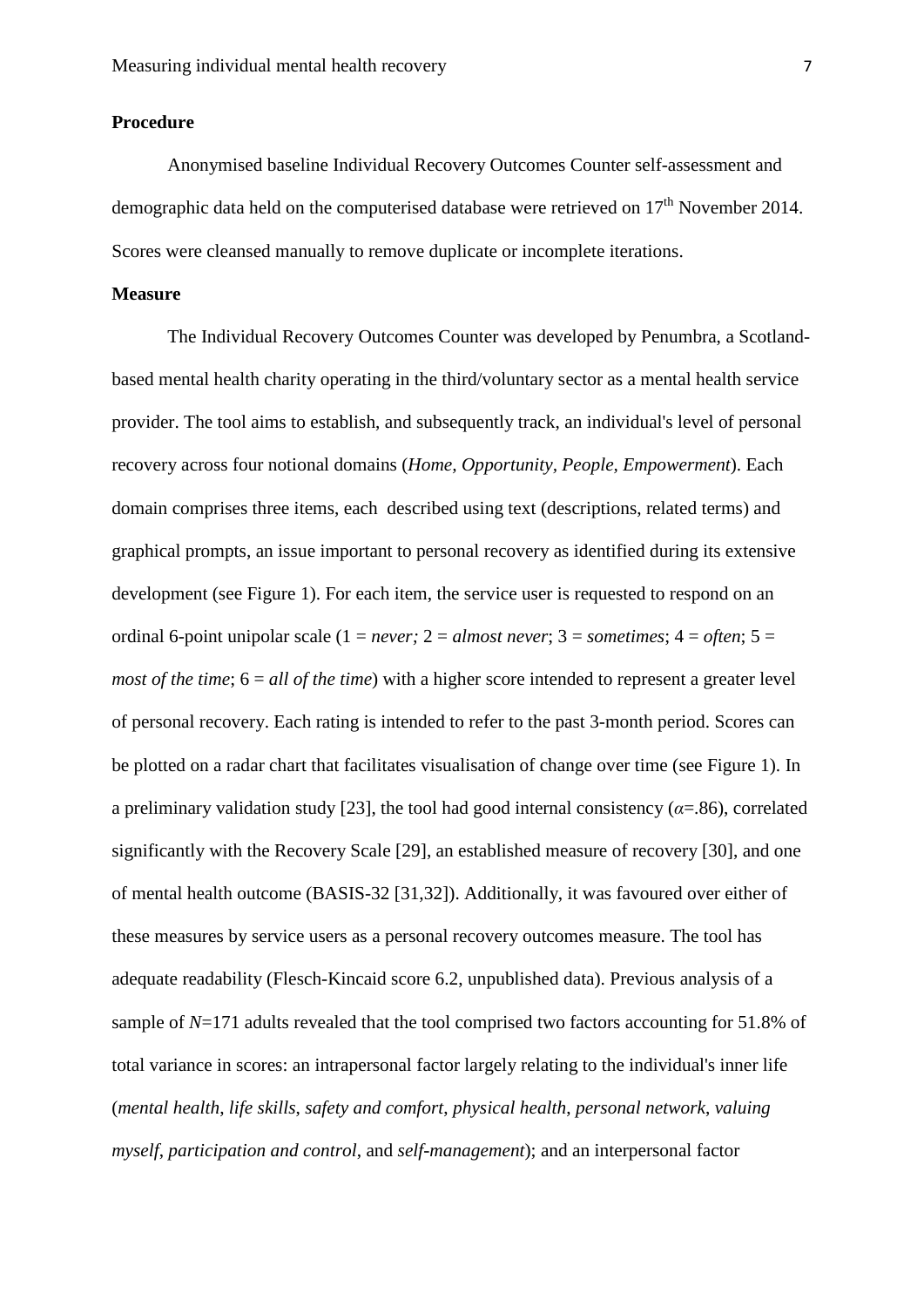## **Procedure**

Anonymised baseline Individual Recovery Outcomes Counter self-assessment and demographic data held on the computerised database were retrieved on  $17<sup>th</sup>$  November 2014. Scores were cleansed manually to remove duplicate or incomplete iterations.

## **Measure**

The Individual Recovery Outcomes Counter was developed by Penumbra, a Scotlandbased mental health charity operating in the third/voluntary sector as a mental health service provider. The tool aims to establish, and subsequently track, an individual's level of personal recovery across four notional domains (*Home, Opportunity, People, Empowerment*). Each domain comprises three items, each described using text (descriptions, related terms) and graphical prompts, an issue important to personal recovery as identified during its extensive development (see Figure 1). For each item, the service user is requested to respond on an ordinal 6-point unipolar scale ( $1 = never$ ;  $2 = almost never$ ;  $3 = sometimes$ ;  $4 = often$ ;  $5 =$ *most of the time*;  $6 = all$  *of the time*) with a higher score intended to represent a greater level of personal recovery. Each rating is intended to refer to the past 3-month period. Scores can be plotted on a radar chart that facilitates visualisation of change over time (see Figure 1). In a preliminary validation study [23], the tool had good internal consistency  $(a=86)$ , correlated significantly with the Recovery Scale [29], an established measure of recovery [30], and one of mental health outcome (BASIS-32 [31,32]). Additionally, it was favoured over either of these measures by service users as a personal recovery outcomes measure. The tool has adequate readability (Flesch-Kincaid score 6.2, unpublished data). Previous analysis of a sample of  $N=171$  adults revealed that the tool comprised two factors accounting for 51.8% of total variance in scores: an intrapersonal factor largely relating to the individual's inner life (*mental health*, *life skills*, *safety and comfort*, *physical health*, *personal network*, *valuing myself*, *participation and control*, and *self-management*); and an interpersonal factor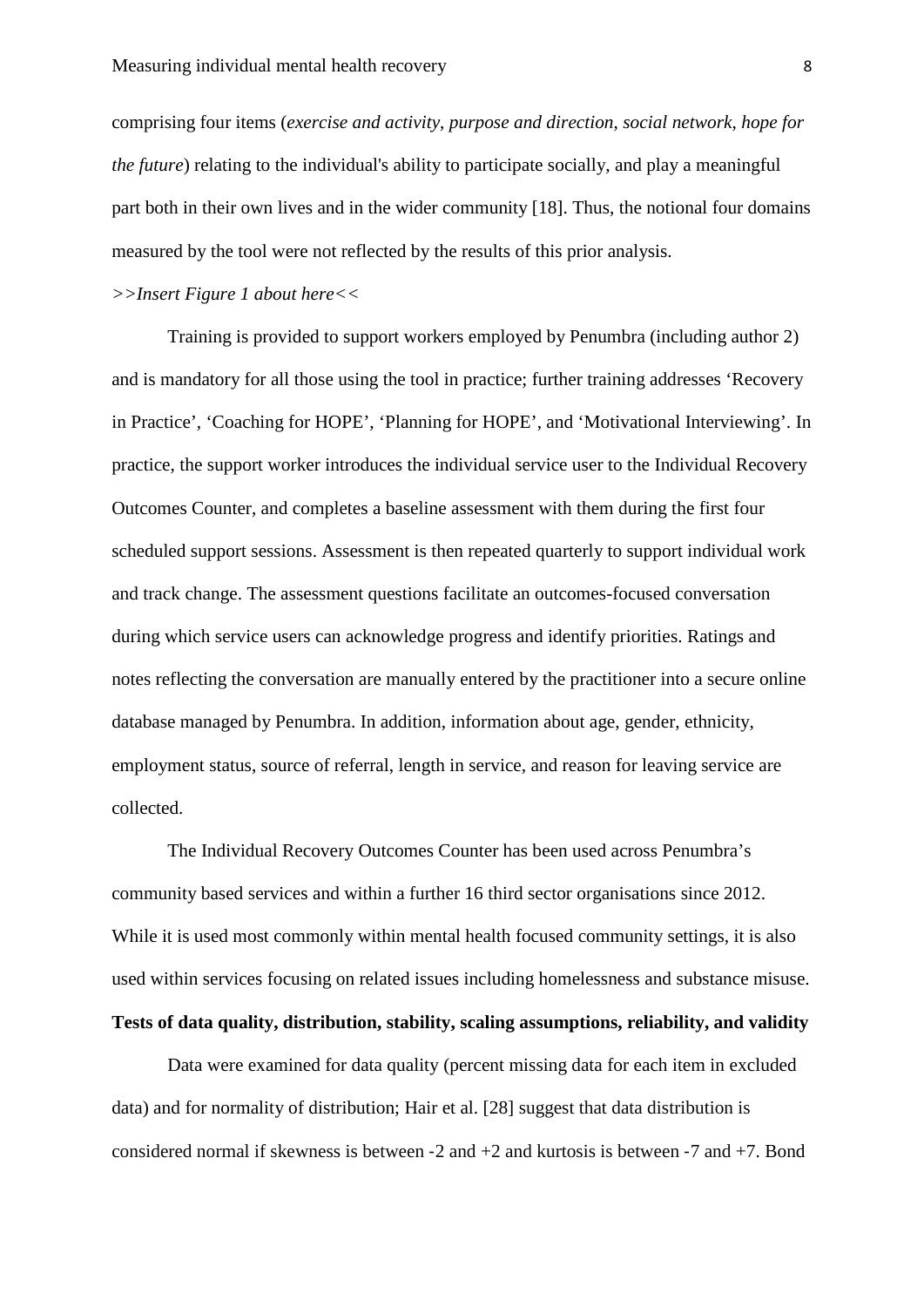comprising four items (*exercise and activity*, *purpose and direction*, *social network*, *hope for the future*) relating to the individual's ability to participate socially, and play a meaningful part both in their own lives and in the wider community [18]. Thus, the notional four domains measured by the tool were not reflected by the results of this prior analysis.

*>>Insert Figure 1 about here<<*

Training is provided to support workers employed by Penumbra (including author 2) and is mandatory for all those using the tool in practice; further training addresses 'Recovery in Practice', 'Coaching for HOPE', 'Planning for HOPE', and 'Motivational Interviewing'. In practice, the support worker introduces the individual service user to the Individual Recovery Outcomes Counter, and completes a baseline assessment with them during the first four scheduled support sessions. Assessment is then repeated quarterly to support individual work and track change. The assessment questions facilitate an outcomes-focused conversation during which service users can acknowledge progress and identify priorities. Ratings and notes reflecting the conversation are manually entered by the practitioner into a secure online database managed by Penumbra. In addition, information about age, gender, ethnicity, employment status, source of referral, length in service, and reason for leaving service are collected.

The Individual Recovery Outcomes Counter has been used across Penumbra's community based services and within a further 16 third sector organisations since 2012. While it is used most commonly within mental health focused community settings, it is also used within services focusing on related issues including homelessness and substance misuse.

## **Tests of data quality, distribution, stability, scaling assumptions, reliability, and validity**

Data were examined for data quality (percent missing data for each item in excluded data) and for normality of distribution; Hair et al. [28] suggest that data distribution is considered normal if skewness is between ‐2 and +2 and kurtosis is between ‐7 and +7. Bond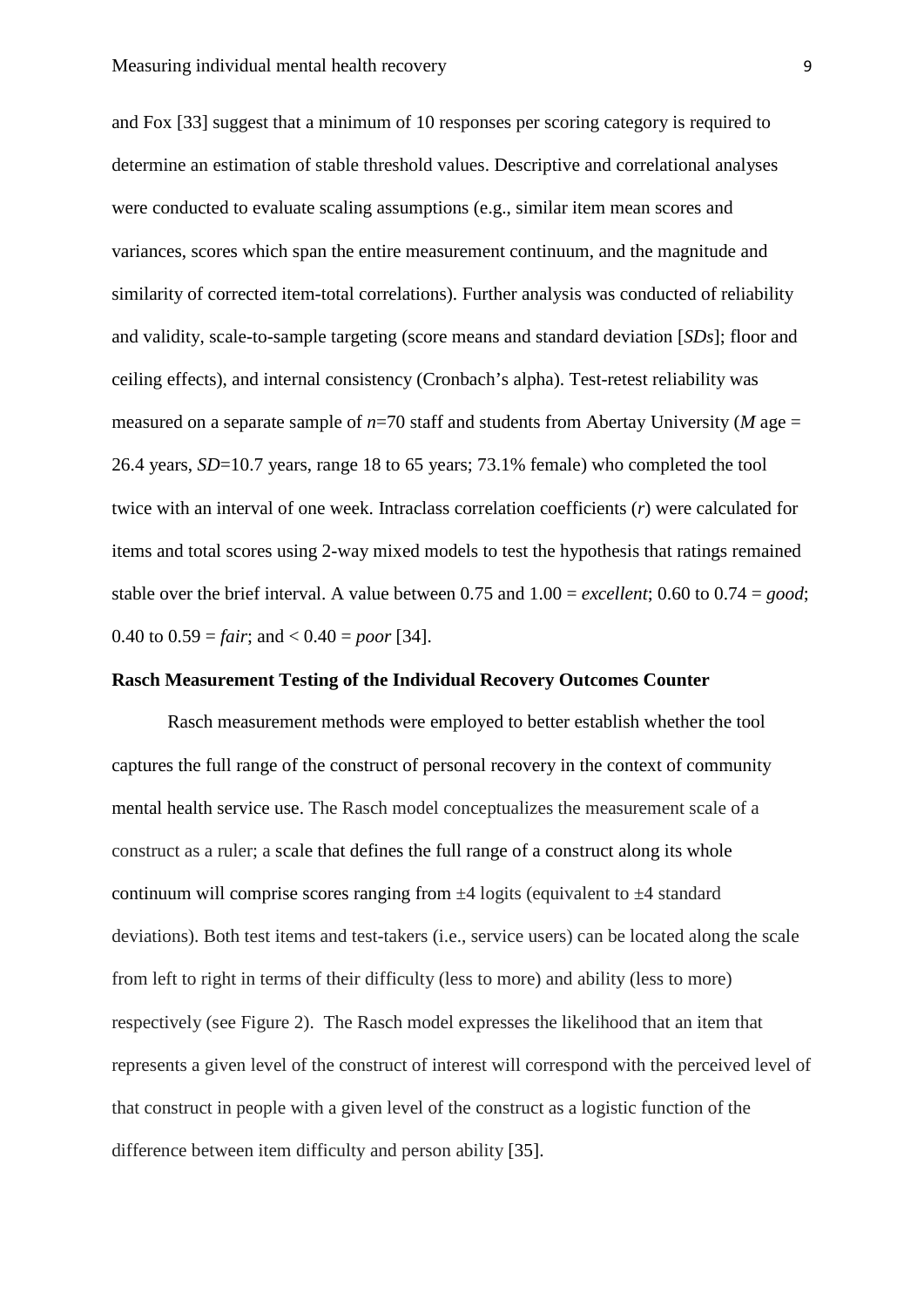and Fox [33] suggest that a minimum of 10 responses per scoring category is required to determine an estimation of stable threshold values. Descriptive and correlational analyses were conducted to evaluate scaling assumptions (e.g., similar item mean scores and variances, scores which span the entire measurement continuum, and the magnitude and similarity of corrected item-total correlations). Further analysis was conducted of reliability and validity, scale-to-sample targeting (score means and standard deviation [*SDs*]; floor and ceiling effects), and internal consistency (Cronbach's alpha). Test-retest reliability was measured on a separate sample of  $n=70$  staff and students from Abertay University (*M* age = 26.4 years, *SD*=10.7 years, range 18 to 65 years; 73.1% female) who completed the tool twice with an interval of one week. Intraclass correlation coefficients (*r*) were calculated for items and total scores using 2-way mixed models to test the hypothesis that ratings remained stable over the brief interval. A value between 0.75 and 1.00 = *excellent*; 0.60 to 0.74 = *good*; 0.40 to  $0.59 = \text{fair}$ ; and  $< 0.40 = \text{poor}$  [34].

## **Rasch Measurement Testing of the Individual Recovery Outcomes Counter**

Rasch measurement methods were employed to better establish whether the tool captures the full range of the construct of personal recovery in the context of community mental health service use. The Rasch model conceptualizes the measurement scale of a construct as a ruler; a scale that defines the full range of a construct along its whole continuum will comprise scores ranging from  $\pm 4$  logits (equivalent to  $\pm 4$  standard deviations). Both test items and test-takers (i.e., service users) can be located along the scale from left to right in terms of their difficulty (less to more) and ability (less to more) respectively (see Figure 2). The Rasch model expresses the likelihood that an item that represents a given level of the construct of interest will correspond with the perceived level of that construct in people with a given level of the construct as a logistic function of the difference between item difficulty and person ability [35].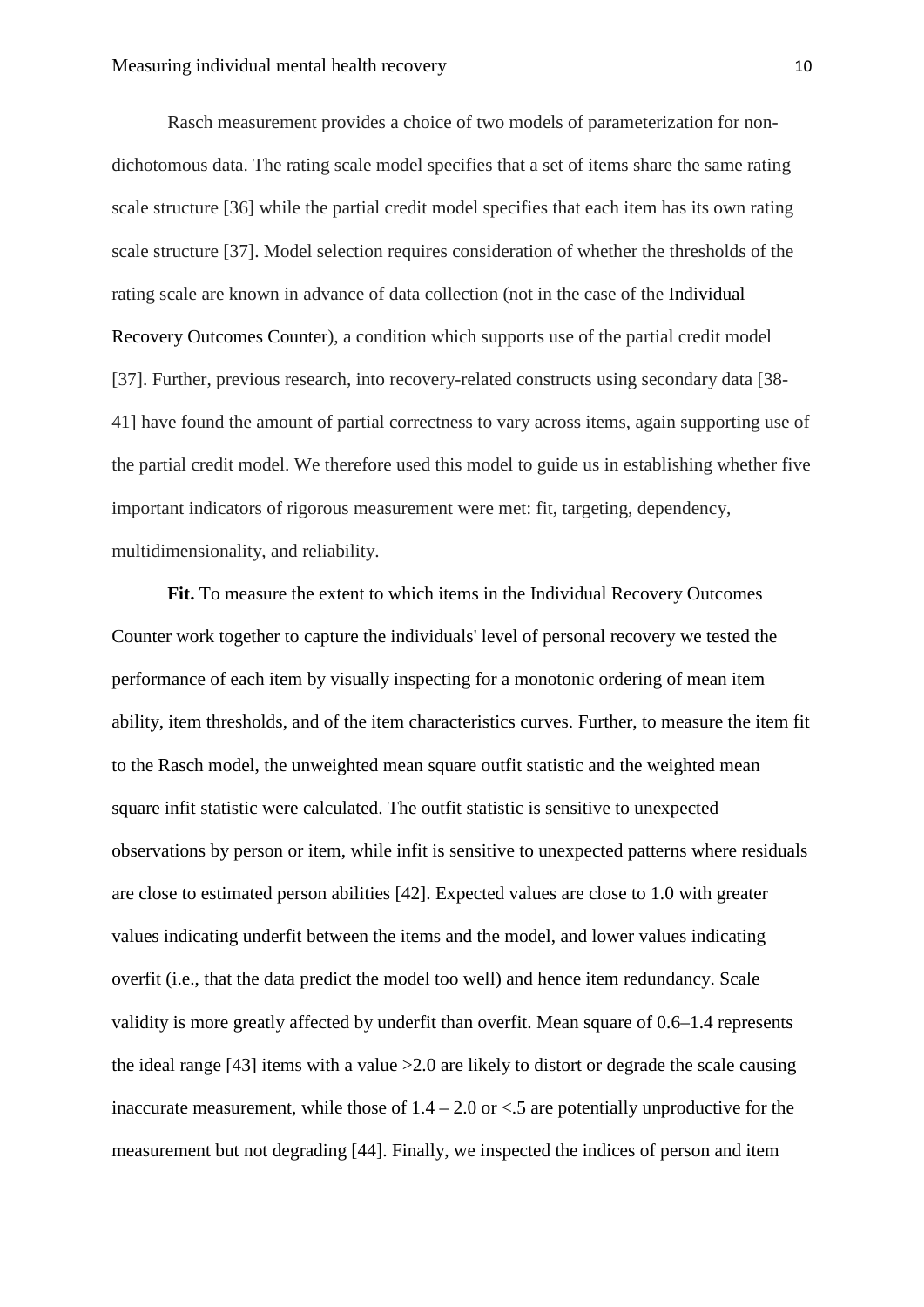Rasch measurement provides a choice of two models of parameterization for nondichotomous data. The rating scale model specifies that a set of items share the same rating scale structure [36] while the partial credit model specifies that each item has its own rating scale structure [37]. Model selection requires consideration of whether the thresholds of the rating scale are known in advance of data collection (not in the case of the Individual Recovery Outcomes Counter), a condition which supports use of the partial credit model [37]. Further, previous research, into recovery-related constructs using secondary data [38- 41] have found the amount of partial correctness to vary across items, again supporting use of the partial credit model. We therefore used this model to guide us in establishing whether five important indicators of rigorous measurement were met: fit, targeting, dependency, multidimensionality, and reliability.

**Fit.** To measure the extent to which items in the Individual Recovery Outcomes Counter work together to capture the individuals' level of personal recovery we tested the performance of each item by visually inspecting for a monotonic ordering of mean item ability, item thresholds, and of the item characteristics curves. Further, to measure the item fit to the Rasch model, the unweighted mean square outfit statistic and the weighted mean square infit statistic were calculated. The outfit statistic is sensitive to unexpected observations by person or item, while infit is sensitive to unexpected patterns where residuals are close to estimated person abilities [42]. Expected values are close to 1.0 with greater values indicating underfit between the items and the model, and lower values indicating overfit (i.e., that the data predict the model too well) and hence item redundancy. Scale validity is more greatly affected by underfit than overfit. Mean square of 0.6–1.4 represents the ideal range [43] items with a value >2.0 are likely to distort or degrade the scale causing inaccurate measurement, while those of  $1.4 - 2.0$  or  $\lt 0.5$  are potentially unproductive for the measurement but not degrading [44]. Finally, we inspected the indices of person and item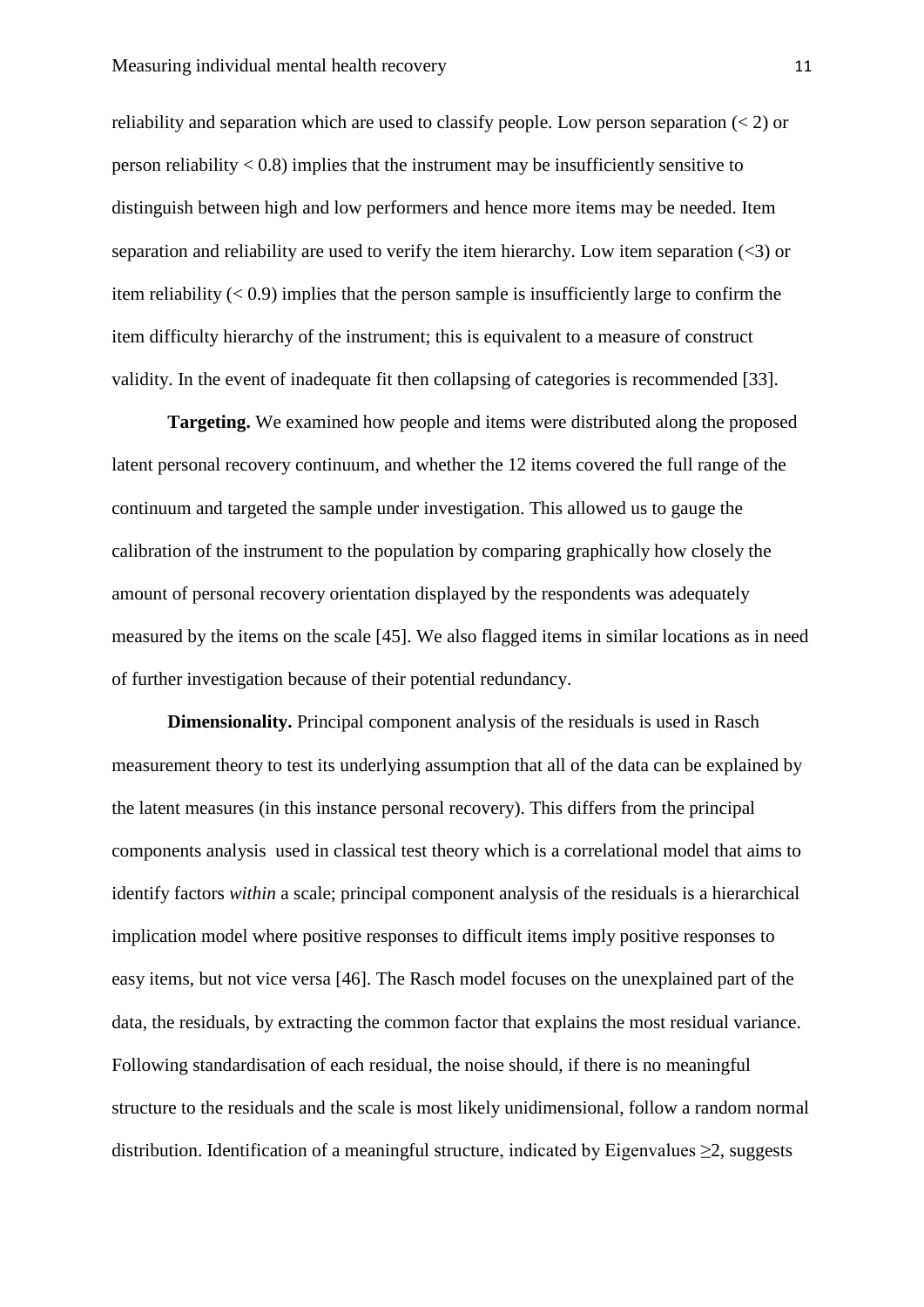reliability and separation which are used to classify people. Low person separation  $(< 2$ ) or person reliability  $< 0.8$ ) implies that the instrument may be insufficiently sensitive to distinguish between high and low performers and hence more items may be needed. Item separation and reliability are used to verify the item hierarchy. Low item separation (<3) or item reliability  $(< 0.9$ ) implies that the person sample is insufficiently large to confirm the item difficulty hierarchy of the instrument; this is equivalent to a measure of construct validity. In the event of inadequate fit then collapsing of categories is recommended [33].

**Targeting.** We examined how people and items were distributed along the proposed latent personal recovery continuum, and whether the 12 items covered the full range of the continuum and targeted the sample under investigation. This allowed us to gauge the calibration of the instrument to the population by comparing graphically how closely the amount of personal recovery orientation displayed by the respondents was adequately measured by the items on the scale [45]. We also flagged items in similar locations as in need of further investigation because of their potential redundancy.

**Dimensionality.** Principal component analysis of the residuals is used in Rasch measurement theory to test its underlying assumption that all of the data can be explained by the latent measures (in this instance personal recovery). This differs from the principal components analysis used in classical test theory which is a correlational model that aims to identify factors *within* a scale; principal component analysis of the residuals is a hierarchical implication model where positive responses to difficult items imply positive responses to easy items, but not vice versa [46]. The Rasch model focuses on the unexplained part of the data, the residuals, by extracting the common factor that explains the most residual variance. Following standardisation of each residual, the noise should, if there is no meaningful structure to the residuals and the scale is most likely unidimensional, follow a random normal distribution. Identification of a meaningful structure, indicated by Eigenvalues ≥2, suggests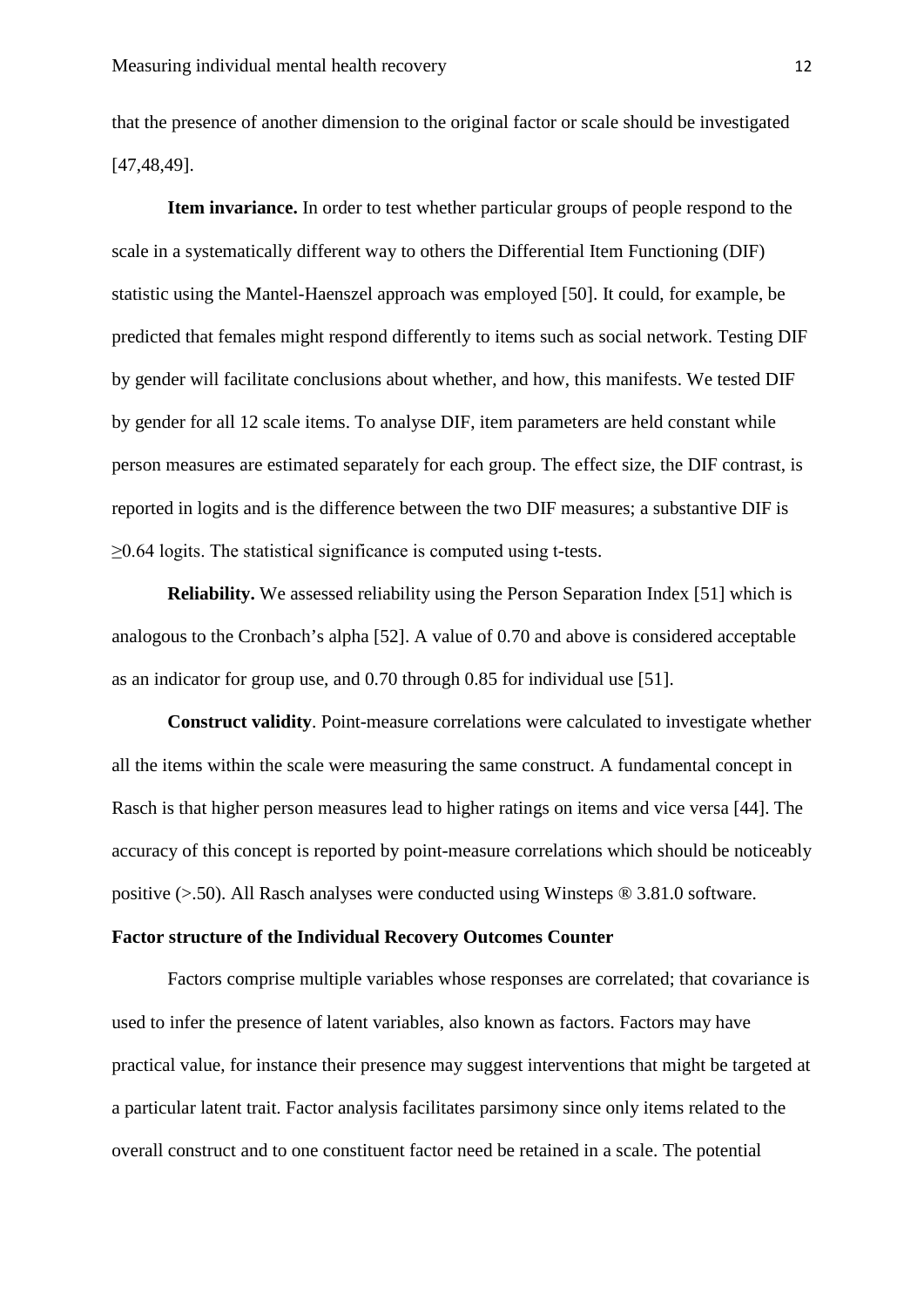that the presence of another dimension to the original factor or scale should be investigated [47,48,49].

**Item invariance.** In order to test whether particular groups of people respond to the scale in a systematically different way to others the Differential Item Functioning (DIF) statistic using the Mantel-Haenszel approach was employed [50]. It could, for example, be predicted that females might respond differently to items such as social network. Testing DIF by gender will facilitate conclusions about whether, and how, this manifests. We tested DIF by gender for all 12 scale items. To analyse DIF, item parameters are held constant while person measures are estimated separately for each group. The effect size, the DIF contrast, is reported in logits and is the difference between the two DIF measures; a substantive DIF is  $\geq$ 0.64 logits. The statistical significance is computed using t-tests.

**Reliability.** We assessed reliability using the Person Separation Index [51] which is analogous to the Cronbach's alpha [52]. A value of 0.70 and above is considered acceptable as an indicator for group use, and 0.70 through 0.85 for individual use [51].

**Construct validity**. Point-measure correlations were calculated to investigate whether all the items within the scale were measuring the same construct. A fundamental concept in Rasch is that higher person measures lead to higher ratings on items and vice versa [44]. The accuracy of this concept is reported by point-measure correlations which should be noticeably positive  $(>0.50)$ . All Rasch analyses were conducted using Winsteps  $\circledR$  3.81.0 software.

## **Factor structure of the Individual Recovery Outcomes Counter**

Factors comprise multiple variables whose responses are correlated; that covariance is used to infer the presence of latent variables, also known as factors. Factors may have practical value, for instance their presence may suggest interventions that might be targeted at a particular latent trait. Factor analysis facilitates parsimony since only items related to the overall construct and to one constituent factor need be retained in a scale. The potential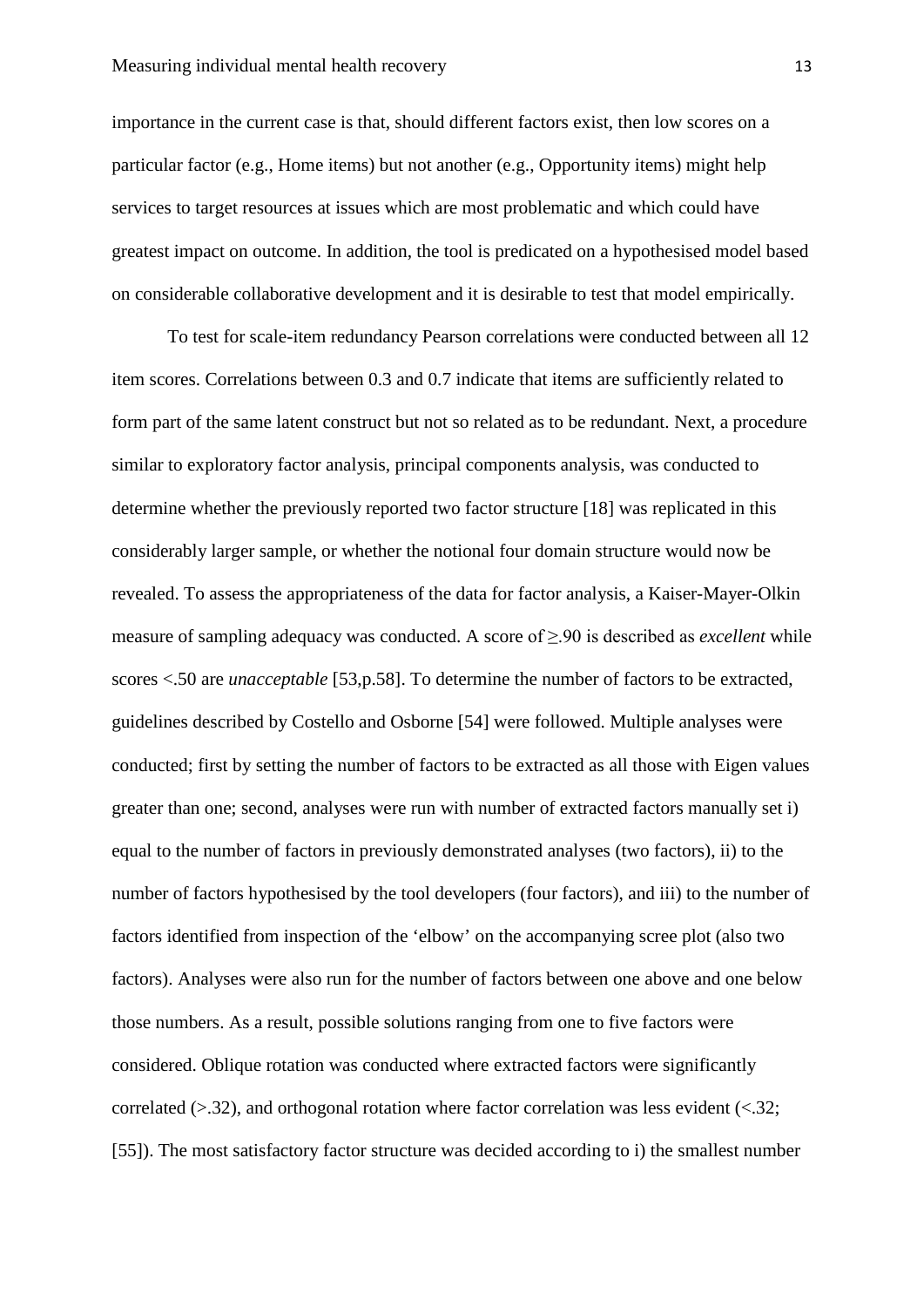importance in the current case is that, should different factors exist, then low scores on a particular factor (e.g., Home items) but not another (e.g., Opportunity items) might help services to target resources at issues which are most problematic and which could have greatest impact on outcome. In addition, the tool is predicated on a hypothesised model based on considerable collaborative development and it is desirable to test that model empirically.

To test for scale-item redundancy Pearson correlations were conducted between all 12 item scores. Correlations between 0.3 and 0.7 indicate that items are sufficiently related to form part of the same latent construct but not so related as to be redundant. Next, a procedure similar to exploratory factor analysis, principal components analysis, was conducted to determine whether the previously reported two factor structure [18] was replicated in this considerably larger sample, or whether the notional four domain structure would now be revealed. To assess the appropriateness of the data for factor analysis, a Kaiser-Mayer-Olkin measure of sampling adequacy was conducted. A score of ≥.90 is described as *excellent* while scores <.50 are *unacceptable* [53,p.58]. To determine the number of factors to be extracted, guidelines described by Costello and Osborne [54] were followed. Multiple analyses were conducted; first by setting the number of factors to be extracted as all those with Eigen values greater than one; second, analyses were run with number of extracted factors manually set i) equal to the number of factors in previously demonstrated analyses (two factors), ii) to the number of factors hypothesised by the tool developers (four factors), and iii) to the number of factors identified from inspection of the 'elbow' on the accompanying scree plot (also two factors). Analyses were also run for the number of factors between one above and one below those numbers. As a result, possible solutions ranging from one to five factors were considered. Oblique rotation was conducted where extracted factors were significantly correlated  $(>,32)$ , and orthogonal rotation where factor correlation was less evident  $($ <.32; [55]). The most satisfactory factor structure was decided according to i) the smallest number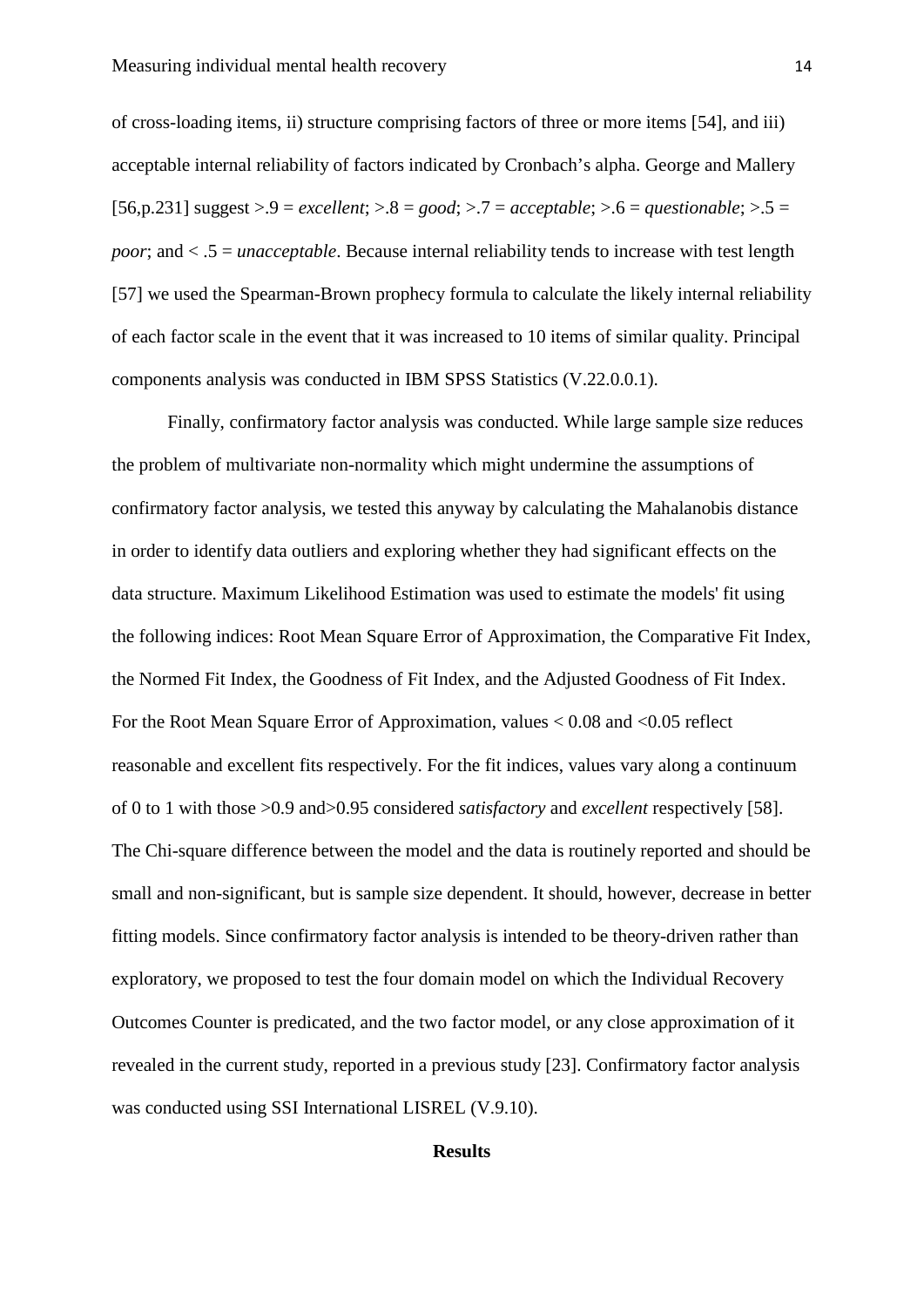of cross-loading items, ii) structure comprising factors of three or more items [54], and iii) acceptable internal reliability of factors indicated by Cronbach's alpha. George and Mallery [56,p.231] suggest >.9 = *excellent*; >.8 = *good*; >.7 = *acceptable*; >.6 = *questionable*; >.5 = *poor*; and < .5 = *unacceptable*. Because internal reliability tends to increase with test length [57] we used the Spearman-Brown prophecy formula to calculate the likely internal reliability of each factor scale in the event that it was increased to 10 items of similar quality. Principal components analysis was conducted in IBM SPSS Statistics (V.22.0.0.1).

Finally, confirmatory factor analysis was conducted. While large sample size reduces the problem of multivariate non-normality which might undermine the assumptions of confirmatory factor analysis, we tested this anyway by calculating the Mahalanobis distance in order to identify data outliers and exploring whether they had significant effects on the data structure. Maximum Likelihood Estimation was used to estimate the models' fit using the following indices: Root Mean Square Error of Approximation, the Comparative Fit Index, the Normed Fit Index, the Goodness of Fit Index, and the Adjusted Goodness of Fit Index. For the Root Mean Square Error of Approximation, values < 0.08 and <0.05 reflect reasonable and excellent fits respectively. For the fit indices, values vary along a continuum of 0 to 1 with those >0.9 and>0.95 considered *satisfactory* and *excellent* respectively [58]. The Chi-square difference between the model and the data is routinely reported and should be small and non-significant, but is sample size dependent. It should, however, decrease in better fitting models. Since confirmatory factor analysis is intended to be theory-driven rather than exploratory, we proposed to test the four domain model on which the Individual Recovery Outcomes Counter is predicated, and the two factor model, or any close approximation of it revealed in the current study, reported in a previous study [23]. Confirmatory factor analysis was conducted using SSI International LISREL (V.9.10).

## **Results**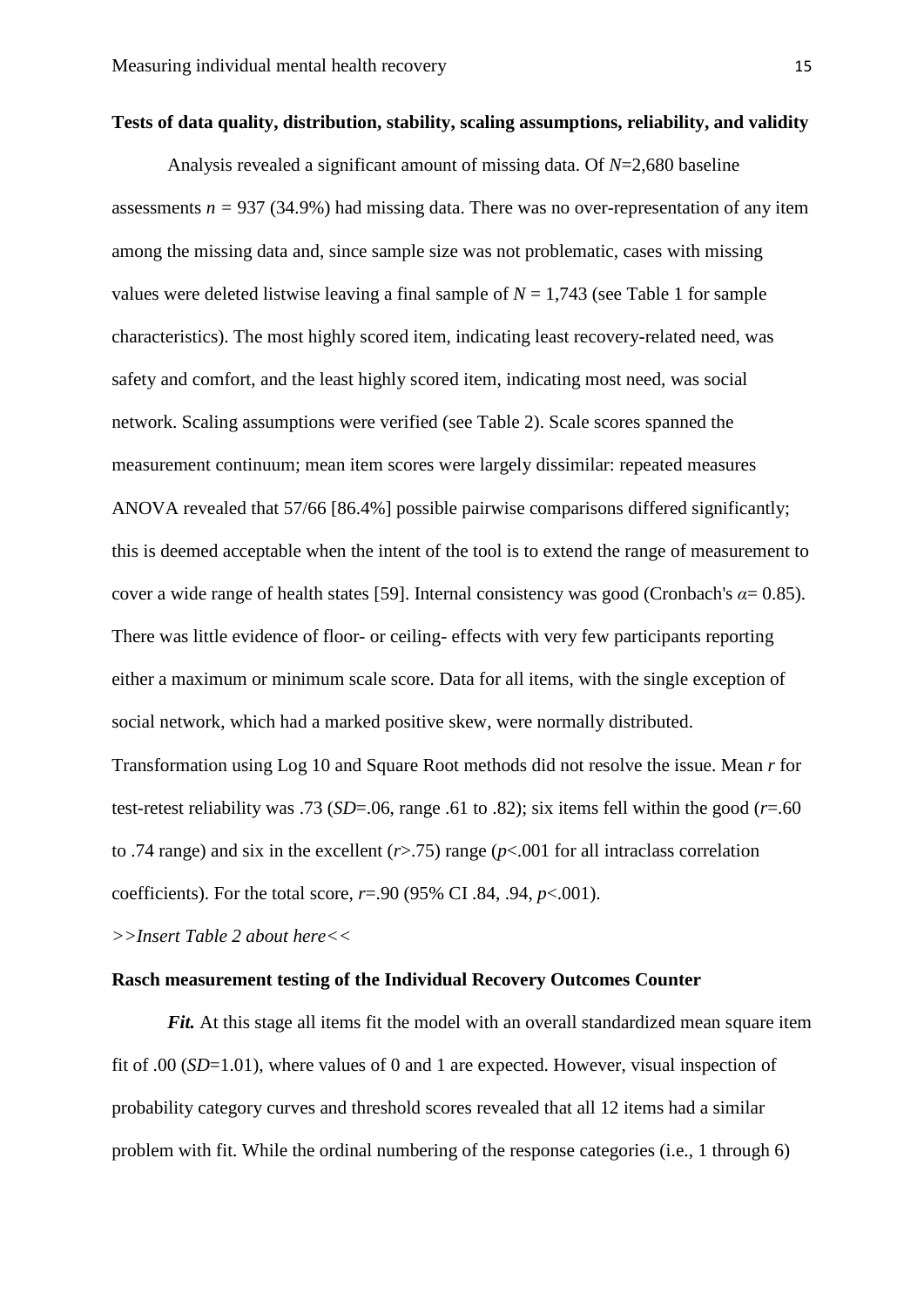## **Tests of data quality, distribution, stability, scaling assumptions, reliability, and validity**

Analysis revealed a significant amount of missing data. Of *N*=2,680 baseline assessments  $n = 937$  (34.9%) had missing data. There was no over-representation of any item among the missing data and, since sample size was not problematic, cases with missing values were deleted listwise leaving a final sample of  $N = 1,743$  (see Table 1 for sample characteristics). The most highly scored item, indicating least recovery-related need, was safety and comfort, and the least highly scored item, indicating most need, was social network. Scaling assumptions were verified (see Table 2). Scale scores spanned the measurement continuum; mean item scores were largely dissimilar: repeated measures ANOVA revealed that 57/66 [86.4%] possible pairwise comparisons differed significantly; this is deemed acceptable when the intent of the tool is to extend the range of measurement to cover a wide range of health states [59]. Internal consistency was good (Cronbach's  $\alpha$  = 0.85). There was little evidence of floor- or ceiling- effects with very few participants reporting either a maximum or minimum scale score. Data for all items, with the single exception of social network, which had a marked positive skew, were normally distributed.

Transformation using Log 10 and Square Root methods did not resolve the issue. Mean *r* for test-retest reliability was .73 ( $SD = .06$ , range .61 to .82); six items fell within the good ( $r = .60$ to .74 range) and six in the excellent (*r*>.75) range (*p*<.001 for all intraclass correlation coefficients). For the total score, *r*=.90 (95% CI .84, .94, *p*<.001).

*>>Insert Table 2 about here<<*

## **Rasch measurement testing of the Individual Recovery Outcomes Counter**

*Fit.* At this stage all items fit the model with an overall standardized mean square item fit of .00 (*SD*=1.01), where values of 0 and 1 are expected. However, visual inspection of probability category curves and threshold scores revealed that all 12 items had a similar problem with fit. While the ordinal numbering of the response categories (i.e., 1 through 6)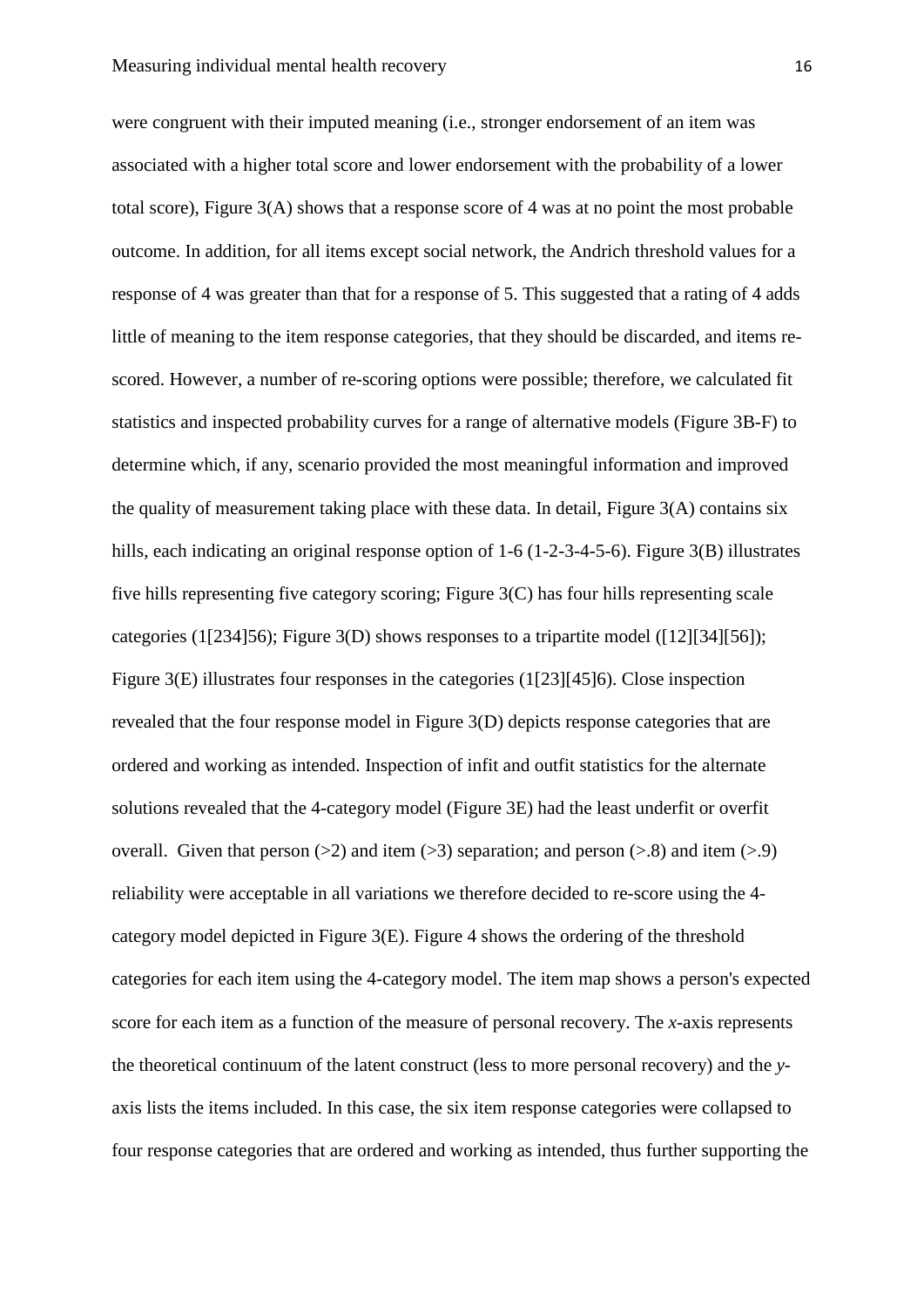were congruent with their imputed meaning (i.e., stronger endorsement of an item was associated with a higher total score and lower endorsement with the probability of a lower total score), Figure 3(A) shows that a response score of 4 was at no point the most probable outcome. In addition, for all items except social network, the Andrich threshold values for a response of 4 was greater than that for a response of 5. This suggested that a rating of 4 adds little of meaning to the item response categories, that they should be discarded, and items rescored. However, a number of re-scoring options were possible; therefore, we calculated fit statistics and inspected probability curves for a range of alternative models (Figure 3B-F) to determine which, if any, scenario provided the most meaningful information and improved the quality of measurement taking place with these data. In detail, Figure 3(A) contains six hills, each indicating an original response option of 1-6 (1-2-3-4-5-6). Figure 3(B) illustrates five hills representing five category scoring; Figure 3(C) has four hills representing scale categories (1[234]56); Figure 3(D) shows responses to a tripartite model ([12][34][56]); Figure 3(E) illustrates four responses in the categories (1[23][45]6). Close inspection revealed that the four response model in Figure 3(D) depicts response categories that are ordered and working as intended. Inspection of infit and outfit statistics for the alternate solutions revealed that the 4-category model (Figure 3E) had the least underfit or overfit overall. Given that person ( $>2$ ) and item ( $>3$ ) separation; and person ( $>8$ ) and item ( $>9$ ) reliability were acceptable in all variations we therefore decided to re-score using the 4 category model depicted in Figure 3(E). Figure 4 shows the ordering of the threshold categories for each item using the 4-category model. The item map shows a person's expected score for each item as a function of the measure of personal recovery. The *x*-axis represents the theoretical continuum of the latent construct (less to more personal recovery) and the *y*axis lists the items included. In this case, the six item response categories were collapsed to four response categories that are ordered and working as intended, thus further supporting the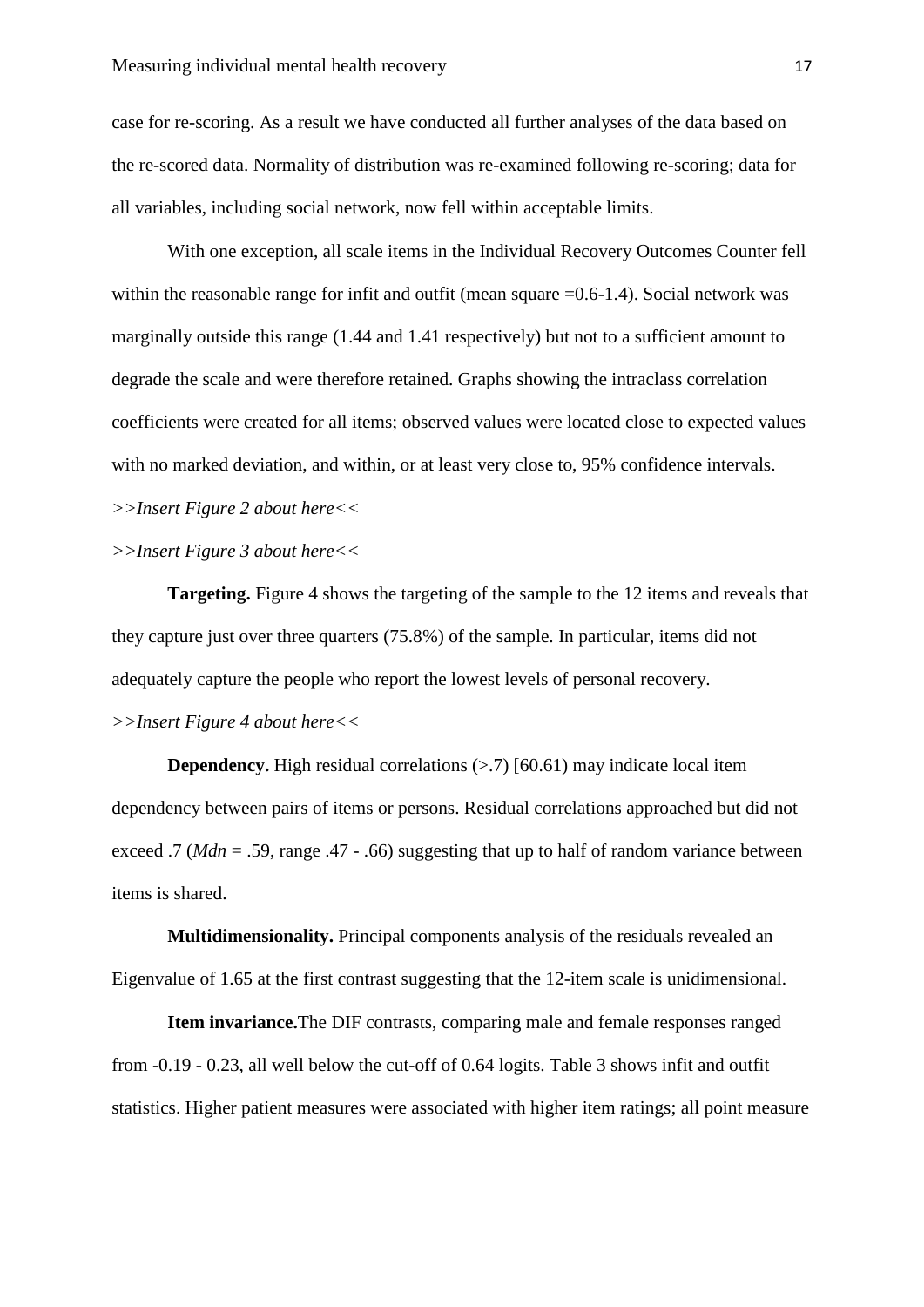case for re-scoring. As a result we have conducted all further analyses of the data based on the re-scored data. Normality of distribution was re-examined following re-scoring; data for all variables, including social network, now fell within acceptable limits.

With one exception, all scale items in the Individual Recovery Outcomes Counter fell within the reasonable range for infit and outfit (mean square =0.6-1.4). Social network was marginally outside this range (1.44 and 1.41 respectively) but not to a sufficient amount to degrade the scale and were therefore retained. Graphs showing the intraclass correlation coefficients were created for all items; observed values were located close to expected values with no marked deviation, and within, or at least very close to, 95% confidence intervals. *>>Insert Figure 2 about here<<*

## *>>Insert Figure 3 about here<<*

**Targeting.** Figure 4 shows the targeting of the sample to the 12 items and reveals that they capture just over three quarters (75.8%) of the sample. In particular, items did not adequately capture the people who report the lowest levels of personal recovery. *>>Insert Figure 4 about here<<*

**Dependency.** High residual correlations  $(> 7)$  [60.61) may indicate local item dependency between pairs of items or persons. Residual correlations approached but did not exceed .7 (*Mdn* = .59, range .47 - .66) suggesting that up to half of random variance between items is shared.

**Multidimensionality.** Principal components analysis of the residuals revealed an Eigenvalue of 1.65 at the first contrast suggesting that the 12-item scale is unidimensional.

**Item invariance.**The DIF contrasts, comparing male and female responses ranged from -0.19 - 0.23, all well below the cut-off of 0.64 logits. Table 3 shows infit and outfit statistics. Higher patient measures were associated with higher item ratings; all point measure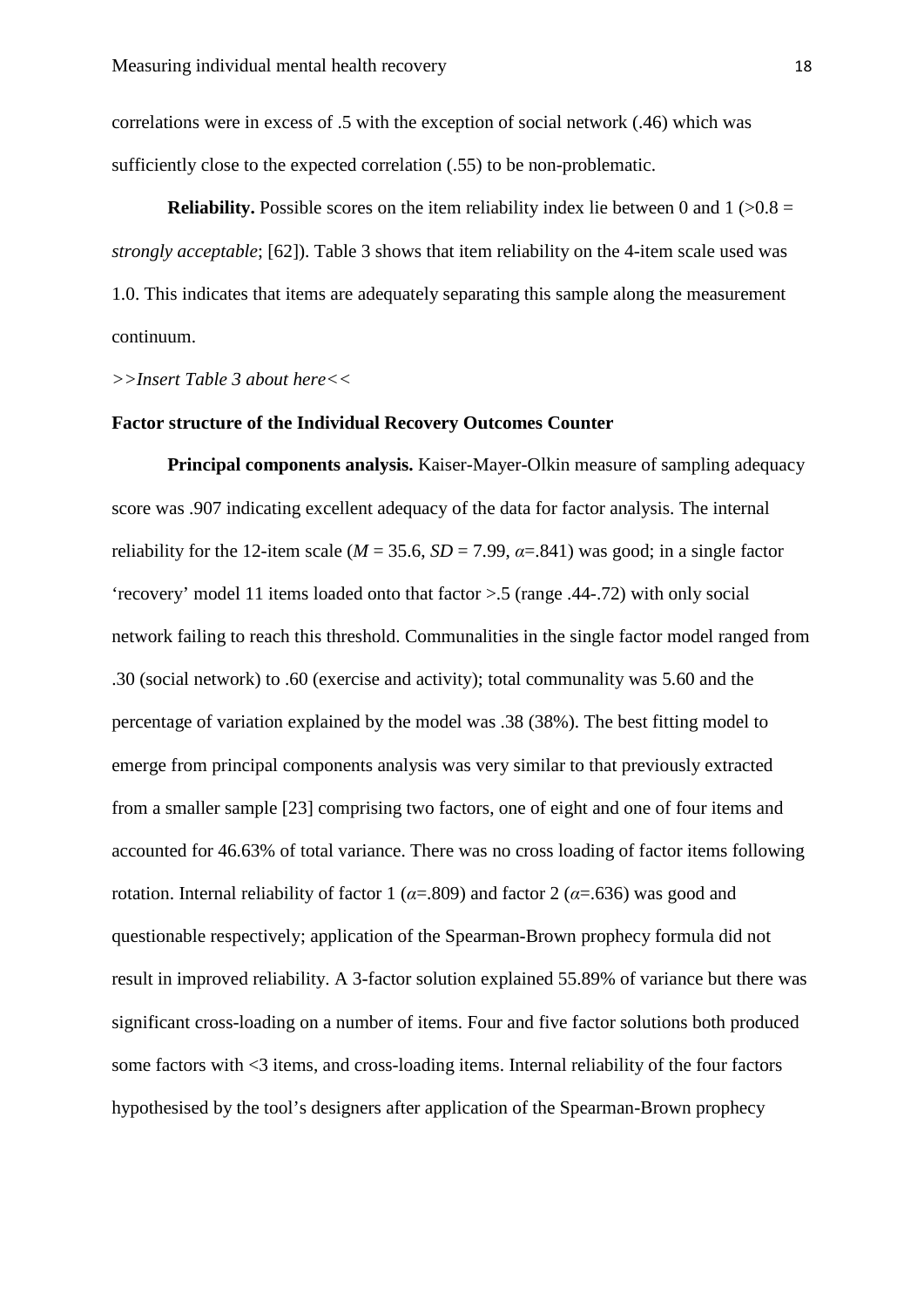correlations were in excess of .5 with the exception of social network (.46) which was sufficiently close to the expected correlation (.55) to be non-problematic.

**Reliability.** Possible scores on the item reliability index lie between 0 and  $1$  ( $>0.8$  = *strongly acceptable*; [62]). Table 3 shows that item reliability on the 4-item scale used was 1.0. This indicates that items are adequately separating this sample along the measurement continuum.

*>>Insert Table 3 about here<<*

### **Factor structure of the Individual Recovery Outcomes Counter**

**Principal components analysis.** Kaiser-Mayer-Olkin measure of sampling adequacy score was .907 indicating excellent adequacy of the data for factor analysis. The internal reliability for the 12-item scale ( $M = 35.6$ ,  $SD = 7.99$ ,  $\alpha = .841$ ) was good; in a single factor 'recovery' model 11 items loaded onto that factor >.5 (range .44-.72) with only social network failing to reach this threshold. Communalities in the single factor model ranged from .30 (social network) to .60 (exercise and activity); total communality was 5.60 and the percentage of variation explained by the model was .38 (38%). The best fitting model to emerge from principal components analysis was very similar to that previously extracted from a smaller sample [23] comprising two factors, one of eight and one of four items and accounted for 46.63% of total variance. There was no cross loading of factor items following rotation. Internal reliability of factor 1 ( $\alpha$ =.809) and factor 2 ( $\alpha$ =.636) was good and questionable respectively; application of the Spearman-Brown prophecy formula did not result in improved reliability. A 3-factor solution explained 55.89% of variance but there was significant cross-loading on a number of items. Four and five factor solutions both produced some factors with <3 items, and cross-loading items. Internal reliability of the four factors hypothesised by the tool's designers after application of the Spearman-Brown prophecy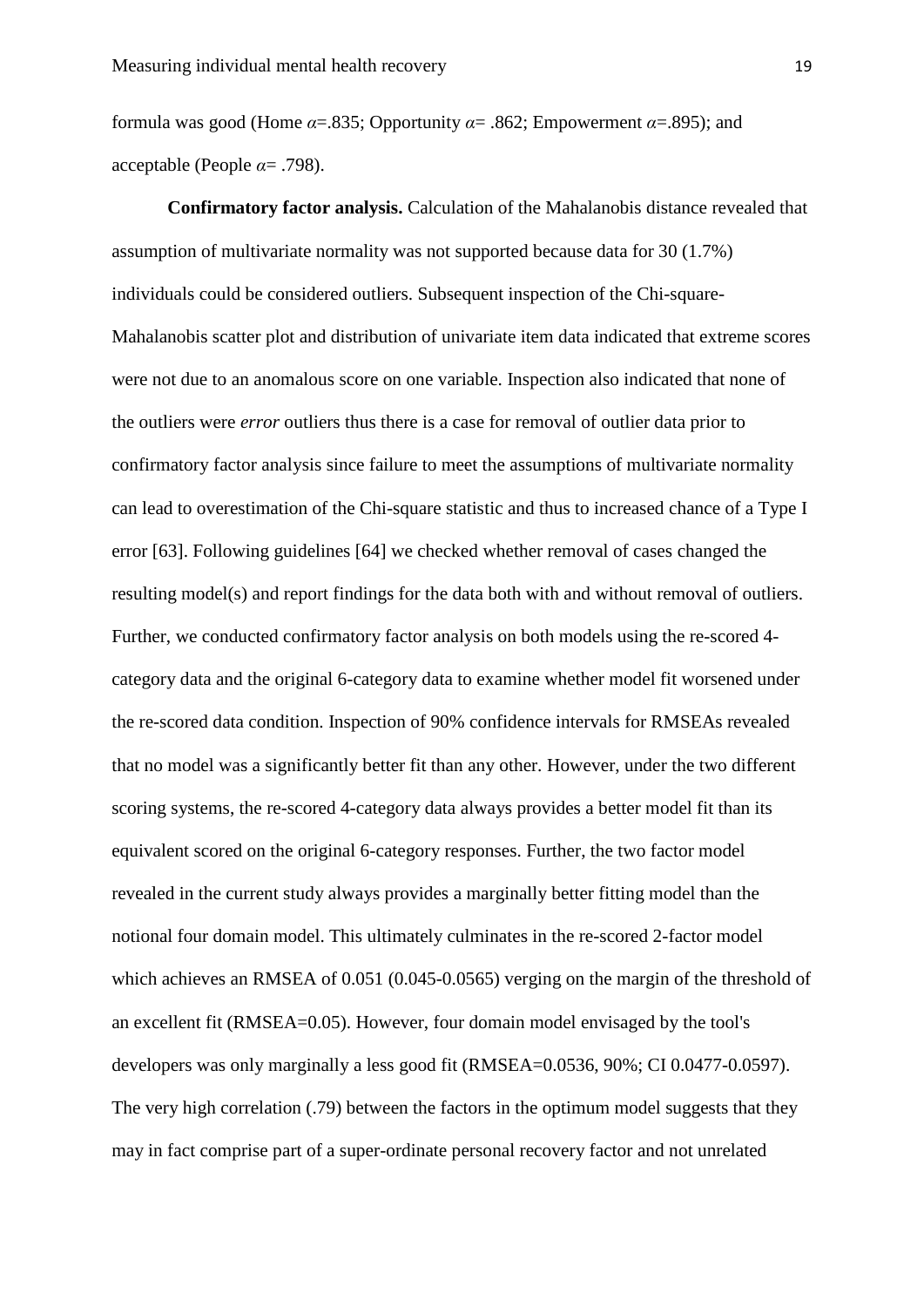formula was good (Home  $\alpha = 0.835$ ; Opportunity  $\alpha = 0.862$ ; Empowerment  $\alpha = 0.895$ ); and acceptable (People *α*= .798).

**Confirmatory factor analysis.** Calculation of the Mahalanobis distance revealed that assumption of multivariate normality was not supported because data for 30 (1.7%) individuals could be considered outliers. Subsequent inspection of the Chi-square-Mahalanobis scatter plot and distribution of univariate item data indicated that extreme scores were not due to an anomalous score on one variable. Inspection also indicated that none of the outliers were *error* outliers thus there is a case for removal of outlier data prior to confirmatory factor analysis since failure to meet the assumptions of multivariate normality can lead to overestimation of the Chi-square statistic and thus to increased chance of a Type I error [63]. Following guidelines [64] we checked whether removal of cases changed the resulting model(s) and report findings for the data both with and without removal of outliers. Further, we conducted confirmatory factor analysis on both models using the re-scored 4 category data and the original 6-category data to examine whether model fit worsened under the re-scored data condition. Inspection of 90% confidence intervals for RMSEAs revealed that no model was a significantly better fit than any other. However, under the two different scoring systems, the re-scored 4-category data always provides a better model fit than its equivalent scored on the original 6-category responses. Further, the two factor model revealed in the current study always provides a marginally better fitting model than the notional four domain model. This ultimately culminates in the re-scored 2-factor model which achieves an RMSEA of 0.051 (0.045-0.0565) verging on the margin of the threshold of an excellent fit (RMSEA=0.05). However, four domain model envisaged by the tool's developers was only marginally a less good fit (RMSEA=0.0536, 90%; CI 0.0477-0.0597). The very high correlation (.79) between the factors in the optimum model suggests that they may in fact comprise part of a super-ordinate personal recovery factor and not unrelated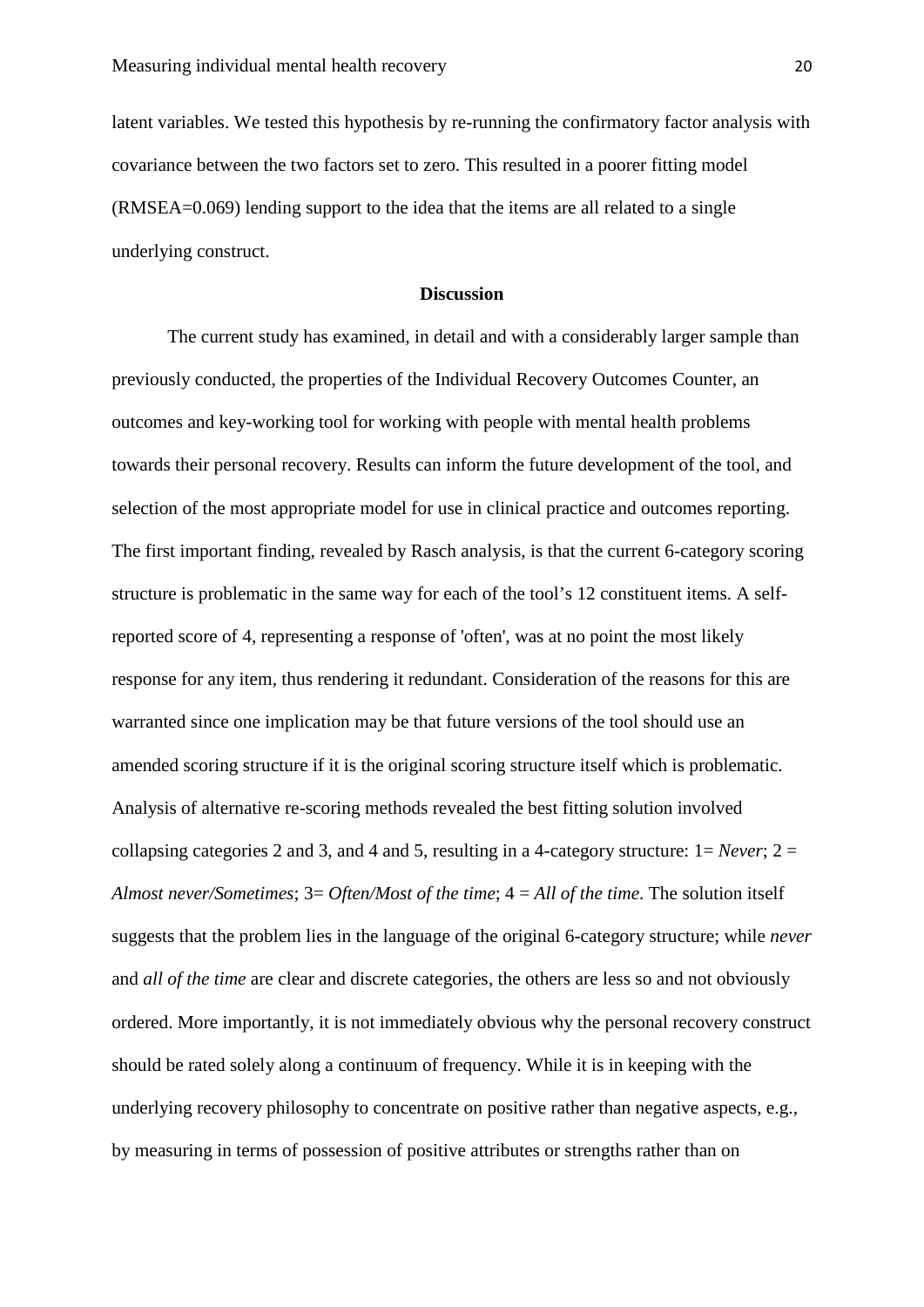latent variables. We tested this hypothesis by re-running the confirmatory factor analysis with covariance between the two factors set to zero. This resulted in a poorer fitting model (RMSEA=0.069) lending support to the idea that the items are all related to a single underlying construct.

#### **Discussion**

The current study has examined, in detail and with a considerably larger sample than previously conducted, the properties of the Individual Recovery Outcomes Counter, an outcomes and key-working tool for working with people with mental health problems towards their personal recovery. Results can inform the future development of the tool, and selection of the most appropriate model for use in clinical practice and outcomes reporting. The first important finding, revealed by Rasch analysis, is that the current 6-category scoring structure is problematic in the same way for each of the tool's 12 constituent items. A selfreported score of 4, representing a response of 'often', was at no point the most likely response for any item, thus rendering it redundant. Consideration of the reasons for this are warranted since one implication may be that future versions of the tool should use an amended scoring structure if it is the original scoring structure itself which is problematic. Analysis of alternative re-scoring methods revealed the best fitting solution involved collapsing categories 2 and 3, and 4 and 5, resulting in a 4-category structure:  $1 = Never$ ;  $2 =$ *Almost never/Sometimes*; 3= *Often/Most of the time*; 4 = *All of the time*. The solution itself suggests that the problem lies in the language of the original 6-category structure; while *never*  and *all of the time* are clear and discrete categories, the others are less so and not obviously ordered. More importantly, it is not immediately obvious why the personal recovery construct should be rated solely along a continuum of frequency. While it is in keeping with the underlying recovery philosophy to concentrate on positive rather than negative aspects, e.g., by measuring in terms of possession of positive attributes or strengths rather than on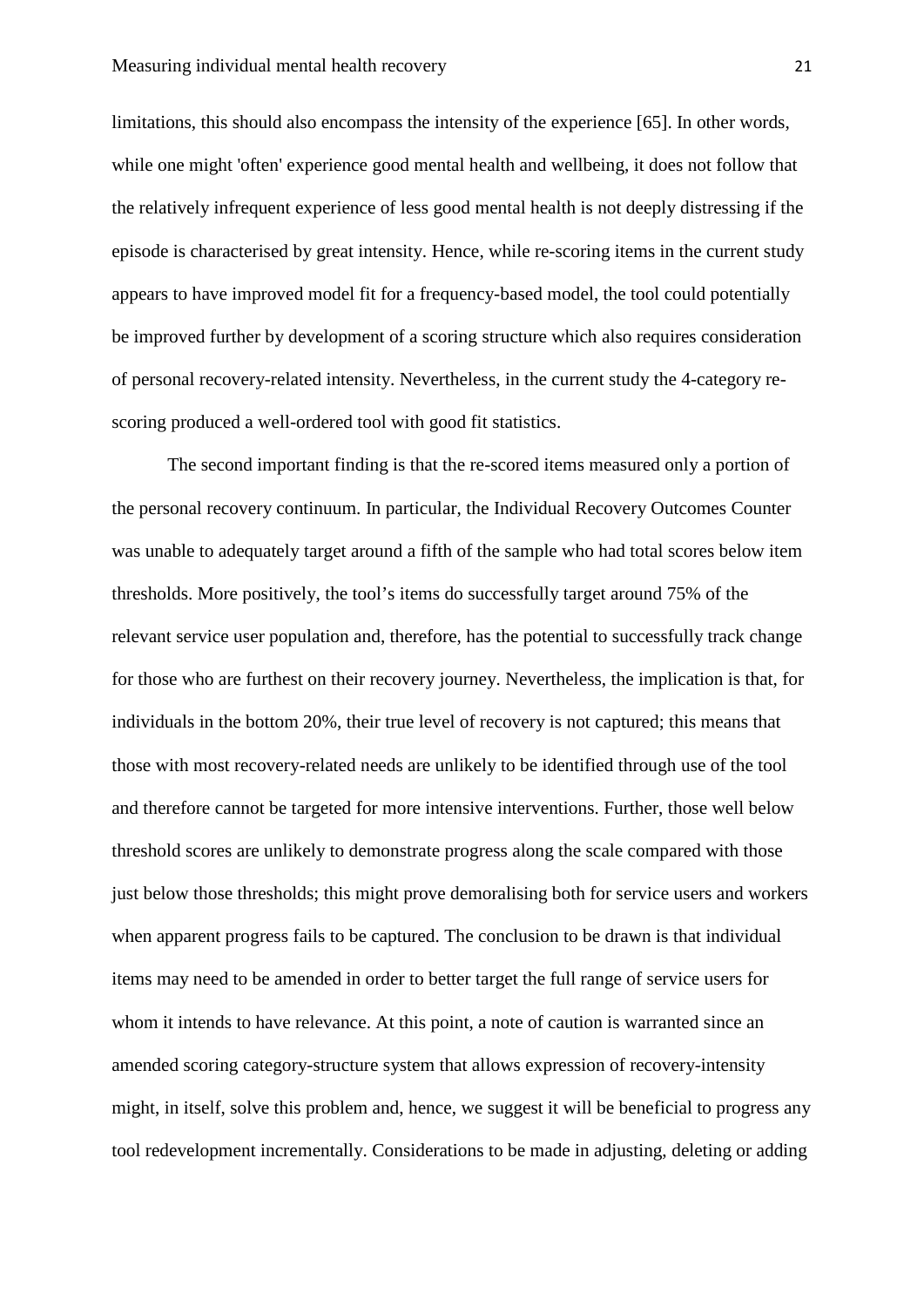limitations, this should also encompass the intensity of the experience [65]. In other words, while one might 'often' experience good mental health and wellbeing, it does not follow that the relatively infrequent experience of less good mental health is not deeply distressing if the episode is characterised by great intensity. Hence, while re-scoring items in the current study appears to have improved model fit for a frequency-based model, the tool could potentially be improved further by development of a scoring structure which also requires consideration of personal recovery-related intensity. Nevertheless, in the current study the 4-category rescoring produced a well-ordered tool with good fit statistics.

The second important finding is that the re-scored items measured only a portion of the personal recovery continuum. In particular, the Individual Recovery Outcomes Counter was unable to adequately target around a fifth of the sample who had total scores below item thresholds. More positively, the tool's items do successfully target around 75% of the relevant service user population and, therefore, has the potential to successfully track change for those who are furthest on their recovery journey. Nevertheless, the implication is that, for individuals in the bottom 20%, their true level of recovery is not captured; this means that those with most recovery-related needs are unlikely to be identified through use of the tool and therefore cannot be targeted for more intensive interventions. Further, those well below threshold scores are unlikely to demonstrate progress along the scale compared with those just below those thresholds; this might prove demoralising both for service users and workers when apparent progress fails to be captured. The conclusion to be drawn is that individual items may need to be amended in order to better target the full range of service users for whom it intends to have relevance. At this point, a note of caution is warranted since an amended scoring category-structure system that allows expression of recovery-intensity might, in itself, solve this problem and, hence, we suggest it will be beneficial to progress any tool redevelopment incrementally. Considerations to be made in adjusting, deleting or adding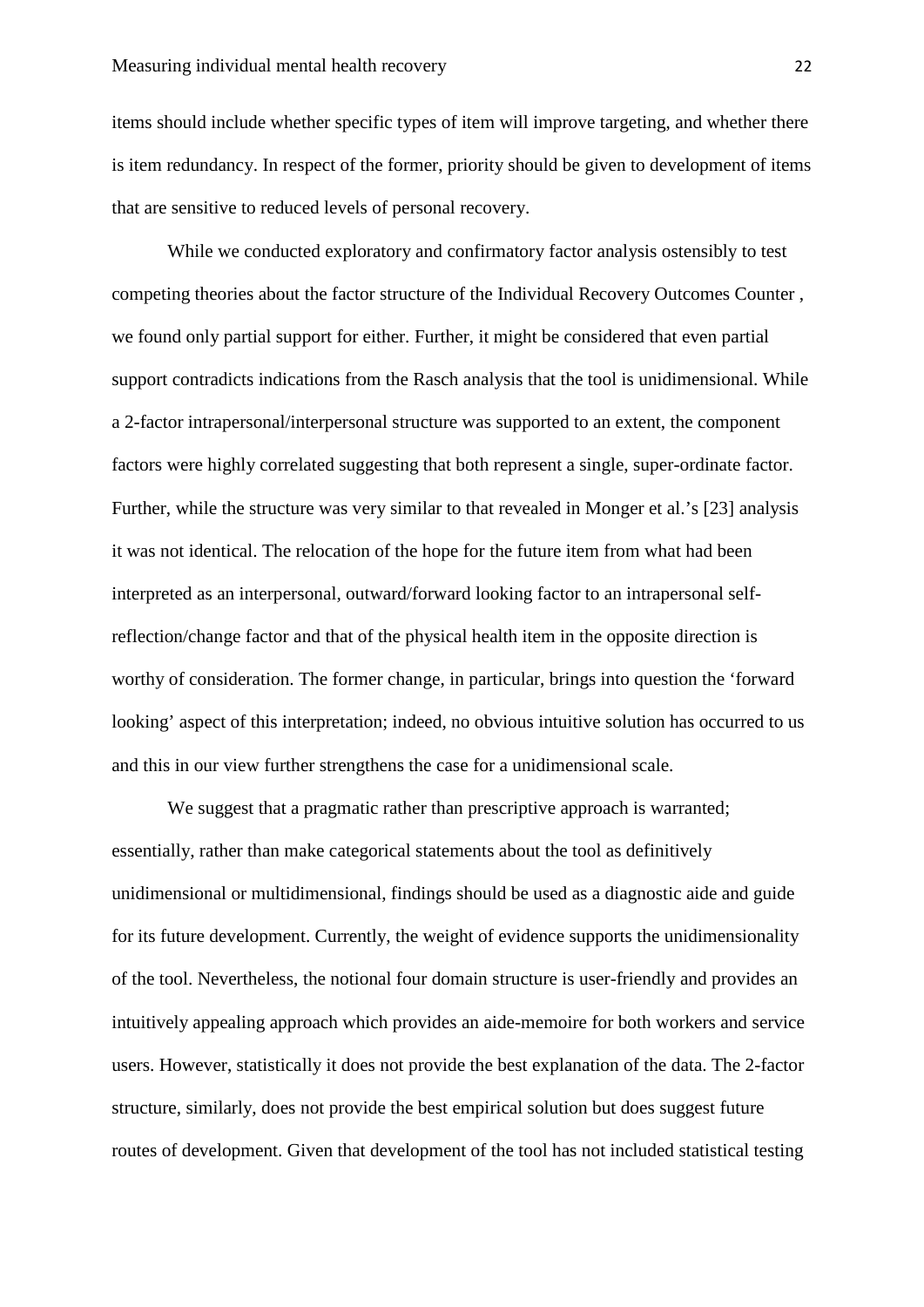items should include whether specific types of item will improve targeting, and whether there is item redundancy. In respect of the former, priority should be given to development of items that are sensitive to reduced levels of personal recovery.

While we conducted exploratory and confirmatory factor analysis ostensibly to test competing theories about the factor structure of the Individual Recovery Outcomes Counter , we found only partial support for either. Further, it might be considered that even partial support contradicts indications from the Rasch analysis that the tool is unidimensional. While a 2-factor intrapersonal/interpersonal structure was supported to an extent, the component factors were highly correlated suggesting that both represent a single, super-ordinate factor. Further, while the structure was very similar to that revealed in Monger et al.'s [23] analysis it was not identical. The relocation of the hope for the future item from what had been interpreted as an interpersonal, outward/forward looking factor to an intrapersonal selfreflection/change factor and that of the physical health item in the opposite direction is worthy of consideration. The former change, in particular, brings into question the 'forward looking' aspect of this interpretation; indeed, no obvious intuitive solution has occurred to us and this in our view further strengthens the case for a unidimensional scale.

We suggest that a pragmatic rather than prescriptive approach is warranted; essentially, rather than make categorical statements about the tool as definitively unidimensional or multidimensional, findings should be used as a diagnostic aide and guide for its future development. Currently, the weight of evidence supports the unidimensionality of the tool. Nevertheless, the notional four domain structure is user-friendly and provides an intuitively appealing approach which provides an aide-memoire for both workers and service users. However, statistically it does not provide the best explanation of the data. The 2-factor structure, similarly, does not provide the best empirical solution but does suggest future routes of development. Given that development of the tool has not included statistical testing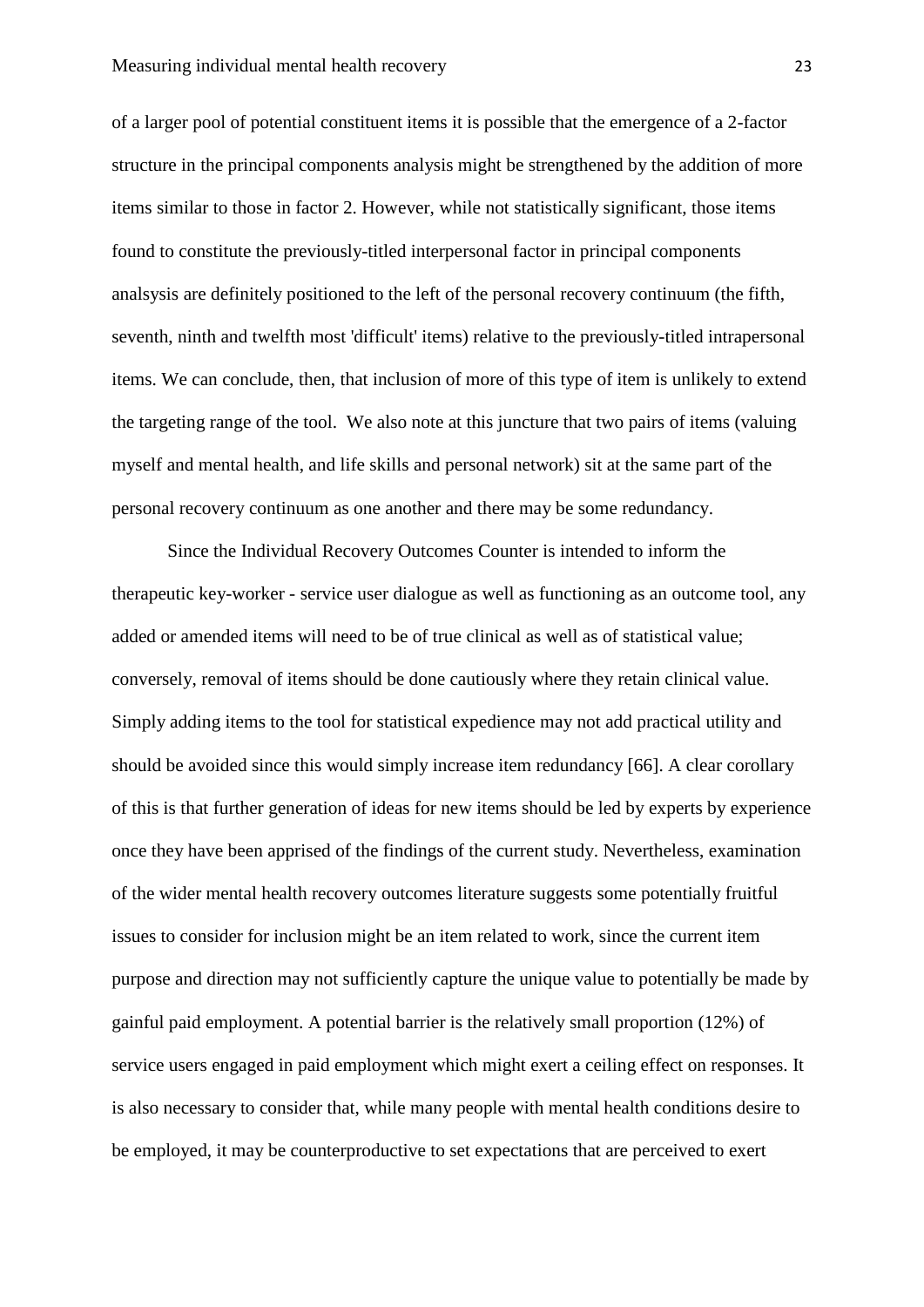of a larger pool of potential constituent items it is possible that the emergence of a 2-factor structure in the principal components analysis might be strengthened by the addition of more items similar to those in factor 2. However, while not statistically significant, those items found to constitute the previously-titled interpersonal factor in principal components analsysis are definitely positioned to the left of the personal recovery continuum (the fifth, seventh, ninth and twelfth most 'difficult' items) relative to the previously-titled intrapersonal items. We can conclude, then, that inclusion of more of this type of item is unlikely to extend the targeting range of the tool. We also note at this juncture that two pairs of items (valuing myself and mental health, and life skills and personal network) sit at the same part of the personal recovery continuum as one another and there may be some redundancy.

Since the Individual Recovery Outcomes Counter is intended to inform the therapeutic key-worker - service user dialogue as well as functioning as an outcome tool, any added or amended items will need to be of true clinical as well as of statistical value; conversely, removal of items should be done cautiously where they retain clinical value. Simply adding items to the tool for statistical expedience may not add practical utility and should be avoided since this would simply increase item redundancy [66]. A clear corollary of this is that further generation of ideas for new items should be led by experts by experience once they have been apprised of the findings of the current study. Nevertheless, examination of the wider mental health recovery outcomes literature suggests some potentially fruitful issues to consider for inclusion might be an item related to work*,* since the current item purpose and direction may not sufficiently capture the unique value to potentially be made by gainful paid employment. A potential barrier is the relatively small proportion (12%) of service users engaged in paid employment which might exert a ceiling effect on responses. It is also necessary to consider that, while many people with mental health conditions desire to be employed, it may be counterproductive to set expectations that are perceived to exert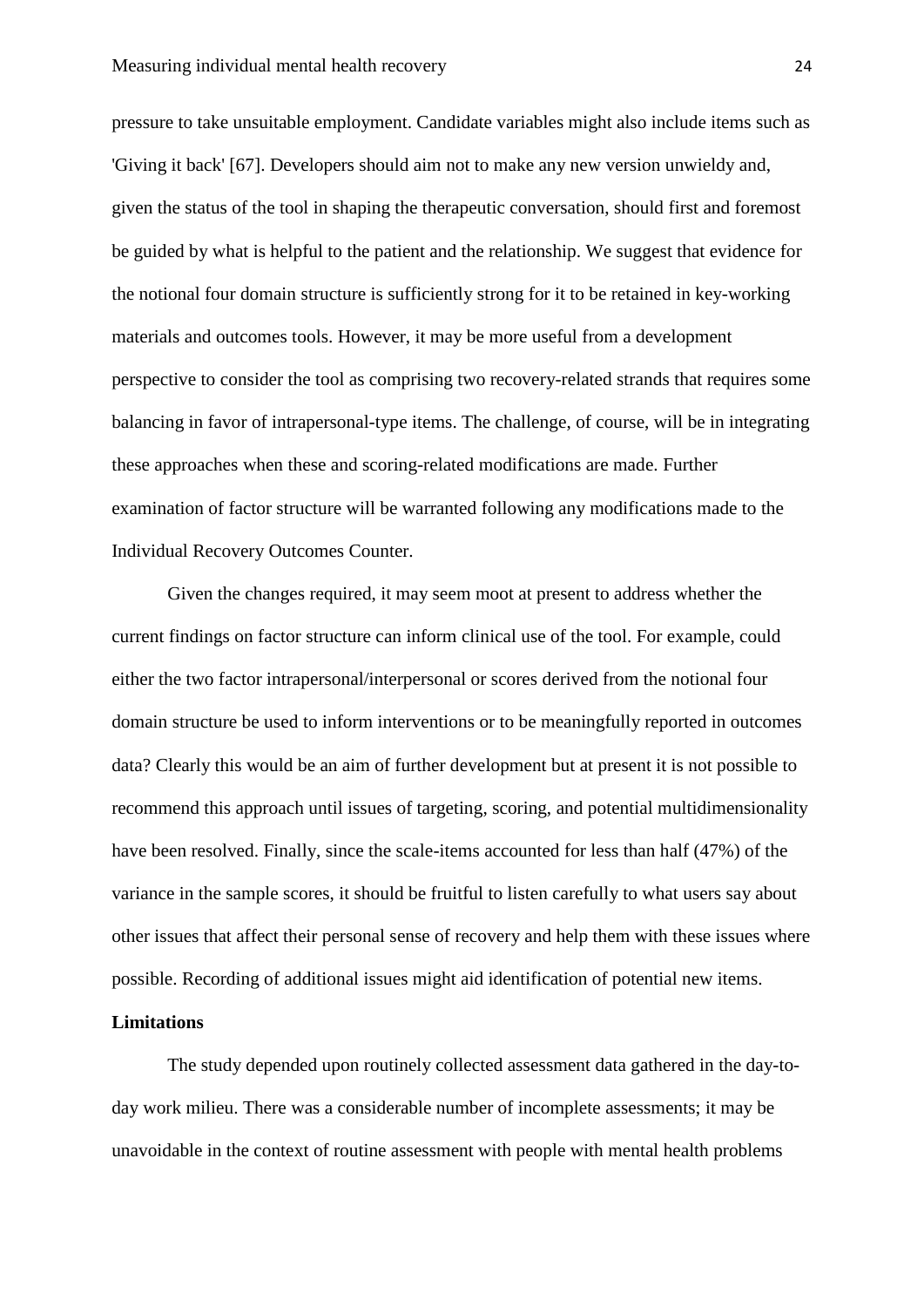pressure to take unsuitable employment. Candidate variables might also include items such as 'Giving it back' [67]. Developers should aim not to make any new version unwieldy and, given the status of the tool in shaping the therapeutic conversation, should first and foremost be guided by what is helpful to the patient and the relationship. We suggest that evidence for the notional four domain structure is sufficiently strong for it to be retained in key-working materials and outcomes tools. However, it may be more useful from a development perspective to consider the tool as comprising two recovery-related strands that requires some balancing in favor of intrapersonal-type items. The challenge, of course, will be in integrating these approaches when these and scoring-related modifications are made. Further examination of factor structure will be warranted following any modifications made to the Individual Recovery Outcomes Counter.

Given the changes required, it may seem moot at present to address whether the current findings on factor structure can inform clinical use of the tool. For example, could either the two factor intrapersonal/interpersonal or scores derived from the notional four domain structure be used to inform interventions or to be meaningfully reported in outcomes data? Clearly this would be an aim of further development but at present it is not possible to recommend this approach until issues of targeting, scoring, and potential multidimensionality have been resolved. Finally, since the scale-items accounted for less than half (47%) of the variance in the sample scores, it should be fruitful to listen carefully to what users say about other issues that affect their personal sense of recovery and help them with these issues where possible. Recording of additional issues might aid identification of potential new items.

## **Limitations**

The study depended upon routinely collected assessment data gathered in the day-today work milieu. There was a considerable number of incomplete assessments; it may be unavoidable in the context of routine assessment with people with mental health problems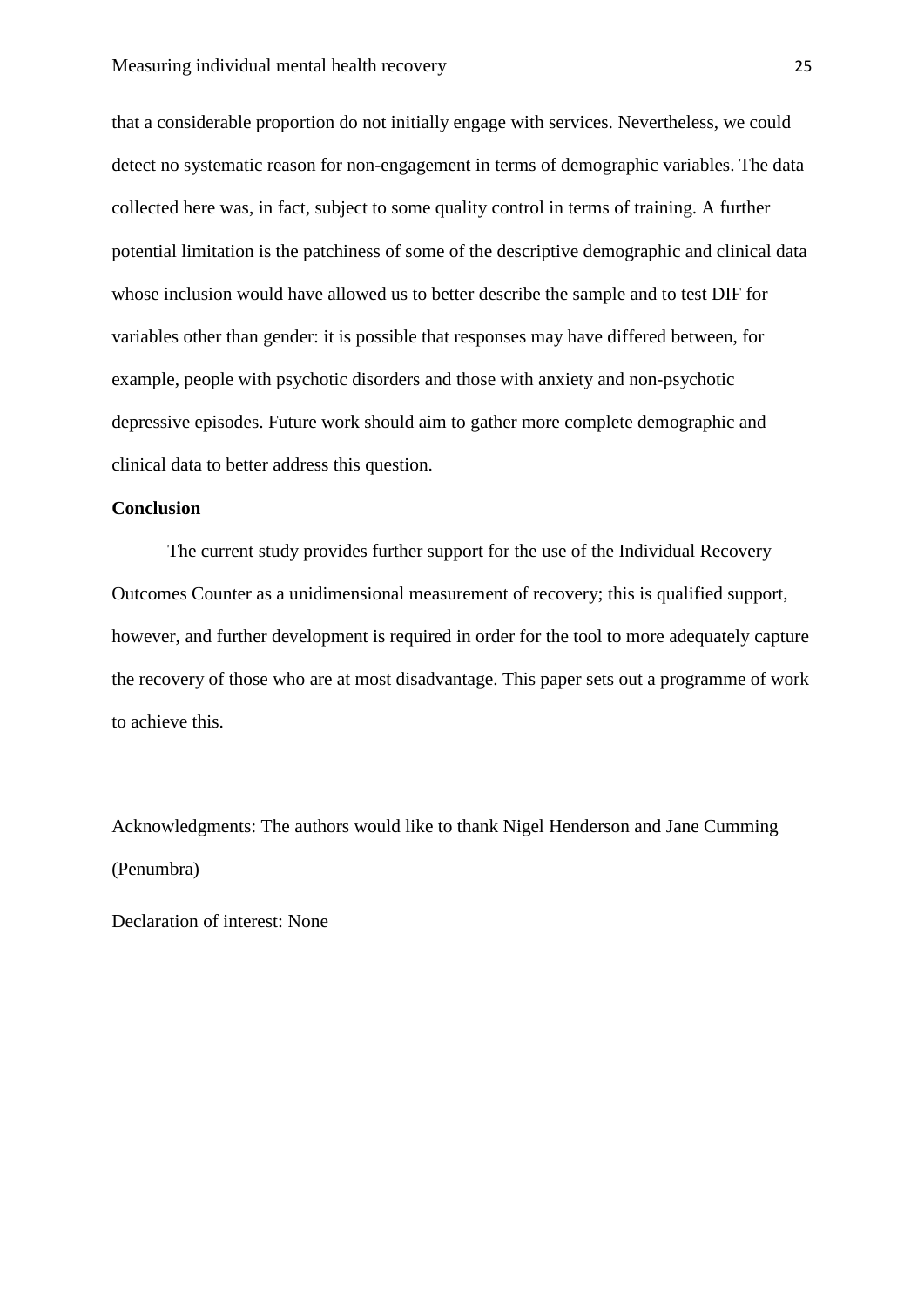that a considerable proportion do not initially engage with services. Nevertheless, we could detect no systematic reason for non-engagement in terms of demographic variables. The data collected here was, in fact, subject to some quality control in terms of training. A further potential limitation is the patchiness of some of the descriptive demographic and clinical data whose inclusion would have allowed us to better describe the sample and to test DIF for variables other than gender: it is possible that responses may have differed between, for example, people with psychotic disorders and those with anxiety and non-psychotic depressive episodes. Future work should aim to gather more complete demographic and clinical data to better address this question.

## **Conclusion**

The current study provides further support for the use of the Individual Recovery Outcomes Counter as a unidimensional measurement of recovery; this is qualified support, however, and further development is required in order for the tool to more adequately capture the recovery of those who are at most disadvantage. This paper sets out a programme of work to achieve this.

Acknowledgments: The authors would like to thank Nigel Henderson and Jane Cumming (Penumbra)

Declaration of interest: None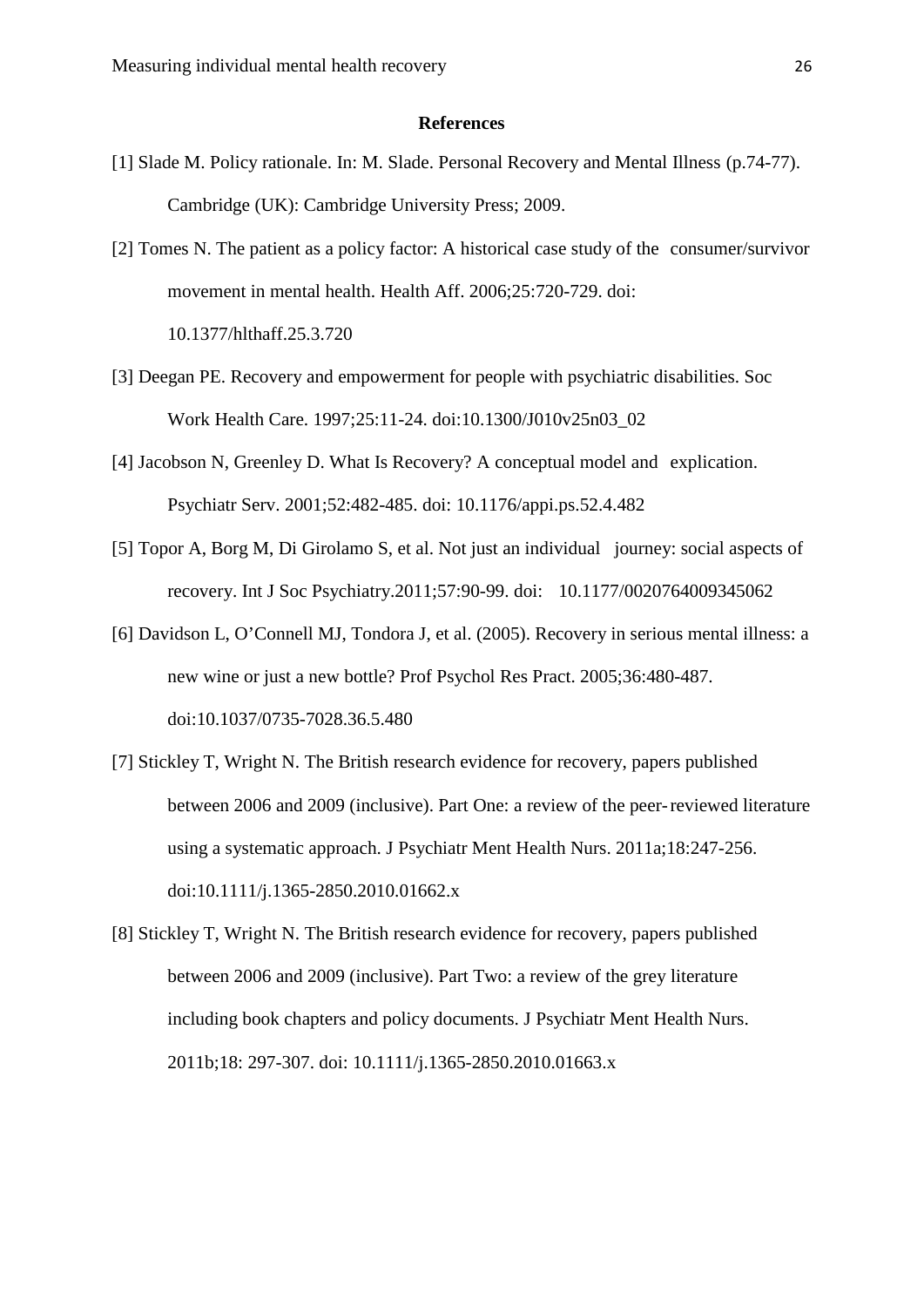#### **References**

- [1] Slade M. Policy rationale. In: M. Slade. Personal Recovery and Mental Illness (p.74-77). Cambridge (UK): Cambridge University Press; 2009.
- [2] Tomes N. The patient as a policy factor: A historical case study of the consumer/survivor movement in mental health. Health Aff. 2006;25:720-729. doi: 10.1377/hlthaff.25.3.720
- [3] Deegan PE. Recovery and empowerment for people with psychiatric disabilities. Soc Work Health Care. 1997;25:11-24. doi:10.1300/J010v25n03\_02
- [4] Jacobson N, Greenley D. What Is Recovery? A conceptual model and explication. Psychiatr Serv. 2001;52:482-485. doi: 10.1176/appi.ps.52.4.482
- [5] Topor A, Borg M, Di Girolamo S, et al. Not just an individual journey: social aspects of recovery. Int J Soc Psychiatry.2011;57:90-99. doi: 10.1177/0020764009345062
- [6] Davidson L, O'Connell MJ, Tondora J, et al. (2005). Recovery in serious mental illness: a new wine or just a new bottle? Prof Psychol Res Pract. 2005;36:480-487. doi:10.1037/0735-7028.36.5.480
- [7] Stickley T, Wright N. The British research evidence for recovery, papers published between 2006 and 2009 (inclusive). Part One: a review of the peer-reviewed literature using a systematic approach. J Psychiatr Ment Health Nurs. 2011a;18:247-256. doi:10.1111/j.1365-2850.2010.01662.x
- [8] Stickley T, Wright N. The British research evidence for recovery, papers published between 2006 and 2009 (inclusive). Part Two: a review of the grey literature including book chapters and policy documents. J Psychiatr Ment Health Nurs. 2011b;18: 297-307. doi: 10.1111/j.1365-2850.2010.01663.x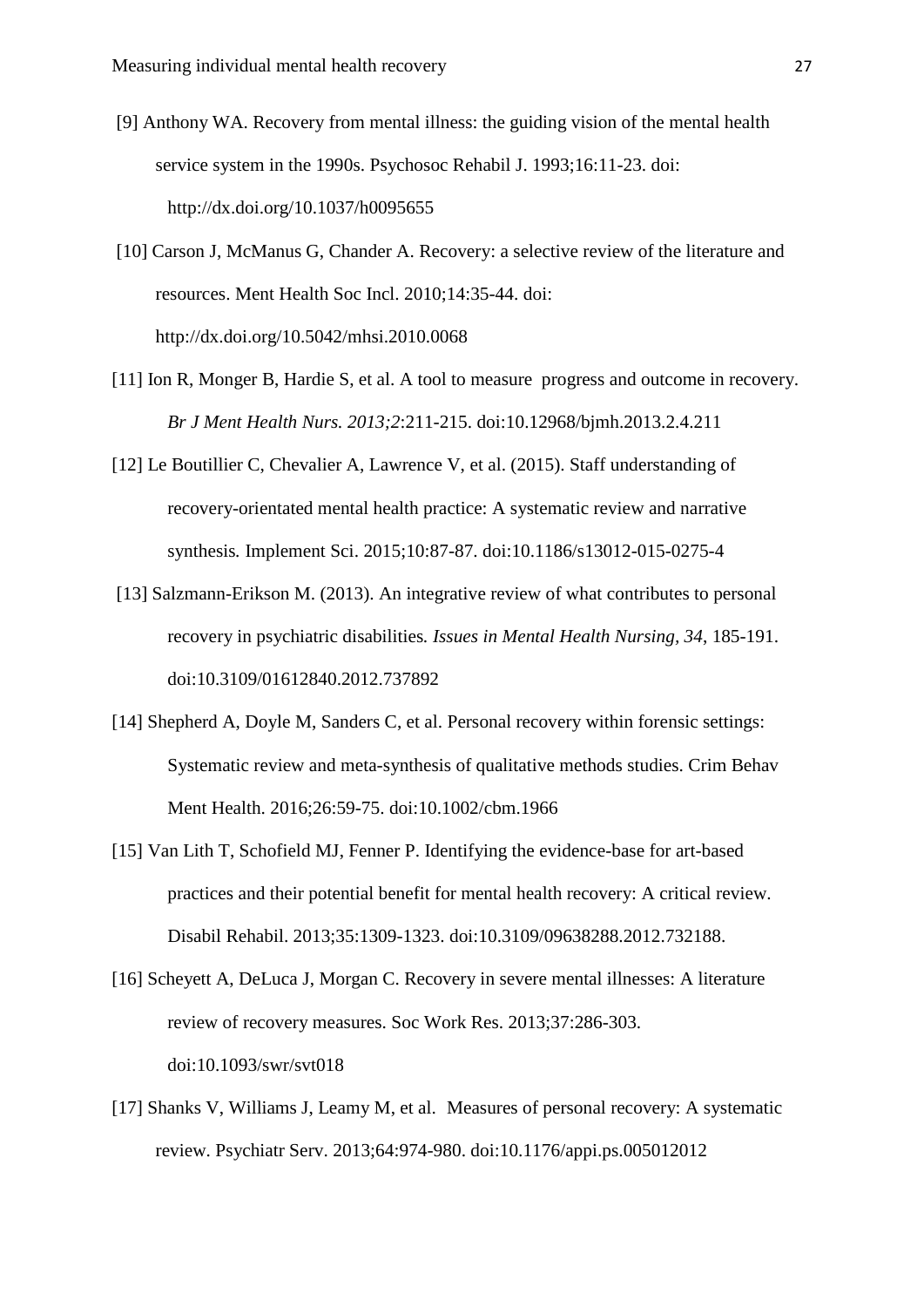- [9] Anthony WA. Recovery from mental illness: the guiding vision of the mental health service system in the 1990s. Psychosoc Rehabil J. 1993;16:11-23. doi: http://dx.doi.org/10.1037/h0095655
- [10] Carson J, McManus G, Chander A. Recovery: a selective review of the literature and resources. Ment Health Soc Incl. 2010;14:35-44. doi: http://dx.doi.org/10.5042/mhsi.2010.0068
- [11] Ion R, Monger B, Hardie S, et al. A tool to measure progress and outcome in recovery. *Br J Ment Health Nurs. 2013;2*:211-215. doi:10.12968/bjmh.2013.2.4.211
- [12] Le Boutillier C, Chevalier A, Lawrence V, et al. (2015). Staff understanding of recovery-orientated mental health practice: A systematic review and narrative synthesis*.* Implement Sci. 2015;10:87-87. doi:10.1186/s13012-015-0275-4
- [13] Salzmann-Erikson M. (2013). An integrative review of what contributes to personal recovery in psychiatric disabilities*. Issues in Mental Health Nursing, 34*, 185-191. doi:10.3109/01612840.2012.737892
- [14] Shepherd A, Doyle M, Sanders C, et al. Personal recovery within forensic settings: Systematic review and meta-synthesis of qualitative methods studies. Crim Behav Ment Health. 2016;26:59-75. doi:10.1002/cbm.1966
- [15] Van Lith T, Schofield MJ, Fenner P. Identifying the evidence-base for art-based practices and their potential benefit for mental health recovery: A critical review. Disabil Rehabil. 2013;35:1309-1323. doi:10.3109/09638288.2012.732188.
- [16] Scheyett A, DeLuca J, Morgan C. Recovery in severe mental illnesses: A literature review of recovery measures. Soc Work Res. 2013;37:286-303. doi:10.1093/swr/svt018
- [17] Shanks V, Williams J, Leamy M, et al. Measures of personal recovery: A systematic review. Psychiatr Serv. 2013;64:974-980. doi:10.1176/appi.ps.005012012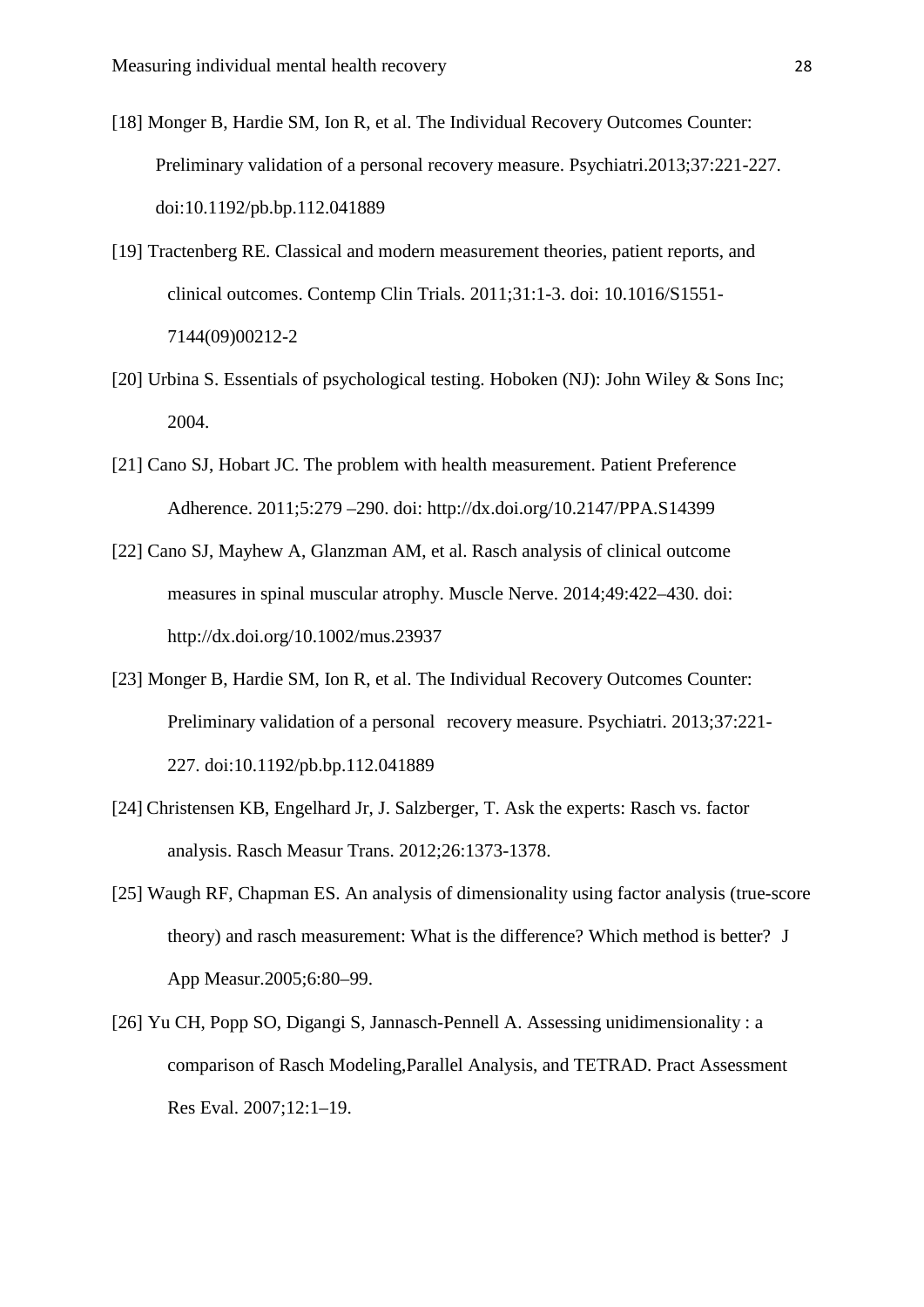- [18] Monger B, Hardie SM, Ion R, et al. The Individual Recovery Outcomes Counter: Preliminary validation of a personal recovery measure. Psychiatri.2013;37:221-227. doi:10.1192/pb.bp.112.041889
- [19] Tractenberg RE. Classical and modern measurement theories, patient reports, and clinical outcomes. Contemp Clin Trials. 2011;31:1-3. doi: 10.1016/S1551- 7144(09)00212-2
- [20] Urbina S. Essentials of psychological testing. Hoboken (NJ): John Wiley & Sons Inc; 2004.
- [21] Cano SJ, Hobart JC. The problem with health measurement. Patient Preference Adherence. 2011;5:279 –290. doi: http://dx.doi.org/10.2147/PPA.S14399
- [22] Cano SJ, Mayhew A, Glanzman AM, et al. Rasch analysis of clinical outcome measures in spinal muscular atrophy. Muscle Nerve. 2014;49:422–430. doi: http://dx.doi.org/10.1002/mus.23937
- [23] Monger B, Hardie SM, Ion R, et al. The Individual Recovery Outcomes Counter: Preliminary validation of a personal recovery measure. Psychiatri. 2013;37:221- 227. doi:10.1192/pb.bp.112.041889
- [24] Christensen KB, Engelhard Jr, J. Salzberger, T. Ask the experts: Rasch vs. factor analysis. Rasch Measur Trans. 2012;26:1373-1378.
- [25] Waugh RF, Chapman ES. An analysis of dimensionality using factor analysis (true-score theory) and rasch measurement: What is the difference? Which method is better? J App Measur.2005;6:80–99.
- [26] Yu CH, Popp SO, Digangi S, Jannasch-Pennell A. Assessing unidimensionality : a comparison of Rasch Modeling,Parallel Analysis, and TETRAD. Pract Assessment Res Eval. 2007;12:1–19.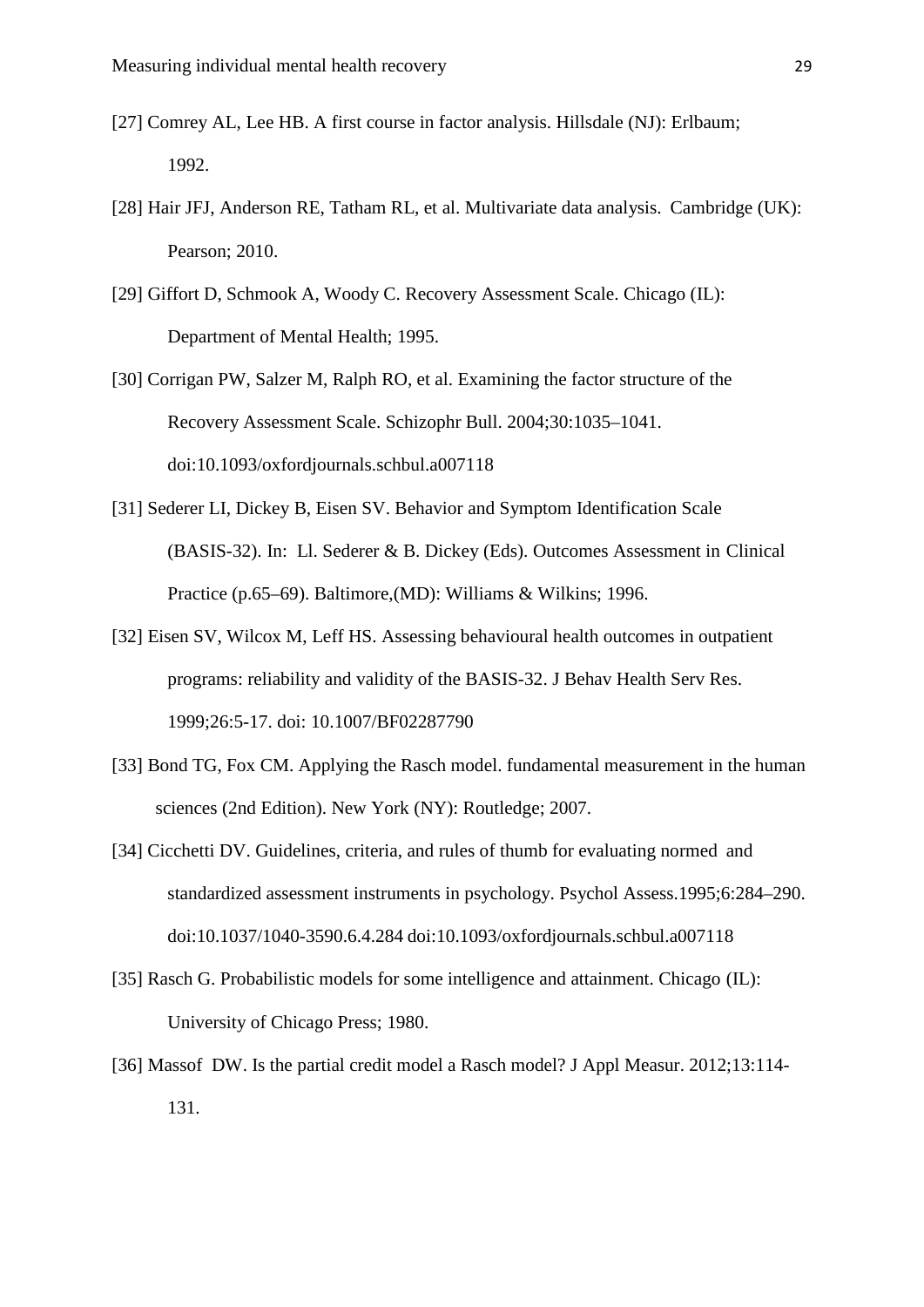- [27] Comrey AL, Lee HB. A first course in factor analysis. Hillsdale (NJ): Erlbaum; 1992.
- [28] Hair JFJ, Anderson RE, Tatham RL, et al. Multivariate data analysis. Cambridge (UK): Pearson; 2010.
- [29] Giffort D, Schmook A, Woody C. Recovery Assessment Scale. Chicago (IL): Department of Mental Health; 1995.
- [30] Corrigan PW, Salzer M, Ralph RO, et al. Examining the factor structure of the Recovery Assessment Scale. Schizophr Bull. 2004;30:1035–1041. doi:10.1093/oxfordjournals.schbul.a007118
- [31] Sederer LI, Dickey B, Eisen SV. Behavior and Symptom Identification Scale (BASIS-32). In: Ll. Sederer & B. Dickey (Eds). Outcomes Assessment in Clinical Practice (p.65–69). Baltimore,(MD): Williams & Wilkins; 1996.
- [32] Eisen SV, Wilcox M, Leff HS. Assessing behavioural health outcomes in outpatient programs: reliability and validity of the BASIS-32. J Behav Health Serv Res. 1999;26:5-17. doi: 10.1007/BF02287790
- [33] Bond TG, Fox CM. Applying the Rasch model. fundamental measurement in the human sciences (2nd Edition). New York (NY): Routledge; 2007.
- [34] Cicchetti DV. Guidelines, criteria, and rules of thumb for evaluating normed and standardized assessment instruments in psychology. Psychol Assess.1995;6:284–290. doi:10.1037/1040-3590.6.4.284 doi:10.1093/oxfordjournals.schbul.a007118
- [35] Rasch G. Probabilistic models for some intelligence and attainment. Chicago (IL): University of Chicago Press; 1980.
- [36] Massof DW. Is the partial credit model a Rasch model? J Appl Measur. 2012;13:114-131.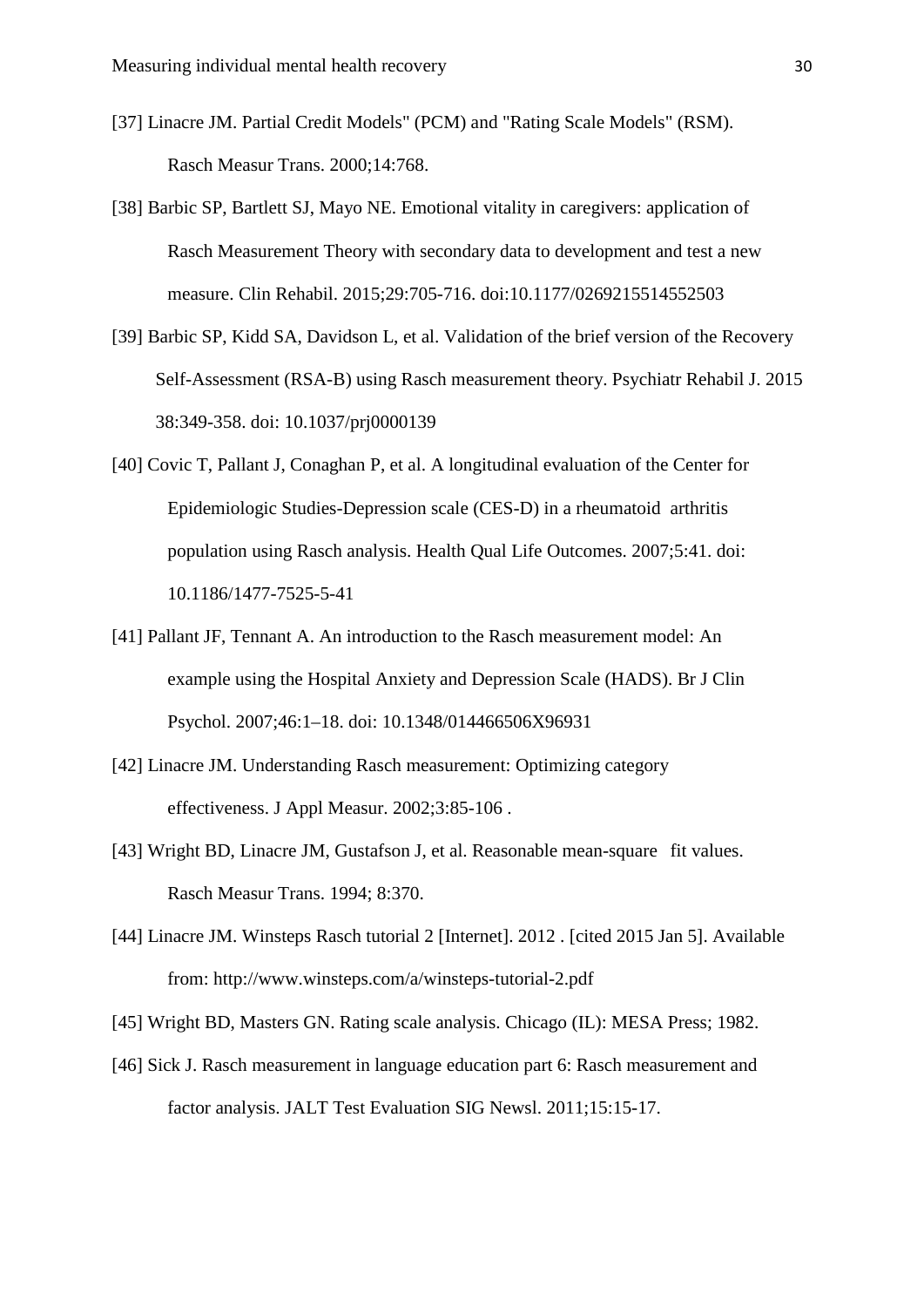- [37] Linacre JM. Partial Credit Models" (PCM) and "Rating Scale Models" (RSM). Rasch Measur Trans. 2000;14:768.
- [38] Barbic SP, Bartlett SJ, Mayo NE. Emotional vitality in caregivers: application of Rasch Measurement Theory with secondary data to development and test a new measure. Clin Rehabil. 2015;29:705-716. doi:10.1177/0269215514552503
- [39] Barbic SP, Kidd SA, Davidson L, et al. Validation of the brief version of the Recovery Self-Assessment (RSA-B) using Rasch measurement theory. Psychiatr Rehabil J. 2015 38:349-358. doi: 10.1037/prj0000139
- [40] Covic T, Pallant J, Conaghan P, et al. A longitudinal evaluation of the Center for Epidemiologic Studies-Depression scale (CES-D) in a rheumatoid arthritis population using Rasch analysis. Health Qual Life Outcomes. 2007;5:41. doi: 10.1186/1477-7525-5-41
- [41] Pallant JF, Tennant A. An introduction to the Rasch measurement model: An example using the Hospital Anxiety and Depression Scale (HADS). Br J Clin Psychol. 2007;46:1–18. doi: 10.1348/014466506X96931
- [42] Linacre JM. Understanding Rasch measurement: Optimizing category effectiveness. J Appl Measur. 2002;3:85-106 .
- [43] Wright BD, Linacre JM, Gustafson J, et al. Reasonable mean-square fit values. Rasch Measur Trans. 1994; 8:370.
- [44] Linacre JM. Winsteps Rasch tutorial 2 [Internet]. 2012 . [cited 2015 Jan 5]. Available from: http://www.winsteps.com/a/winsteps-tutorial-2.pdf
- [45] Wright BD, Masters GN. Rating scale analysis. Chicago (IL): MESA Press; 1982.
- [46] Sick J. Rasch measurement in language education part 6: Rasch measurement and factor analysis. JALT Test Evaluation SIG Newsl. 2011;15:15-17.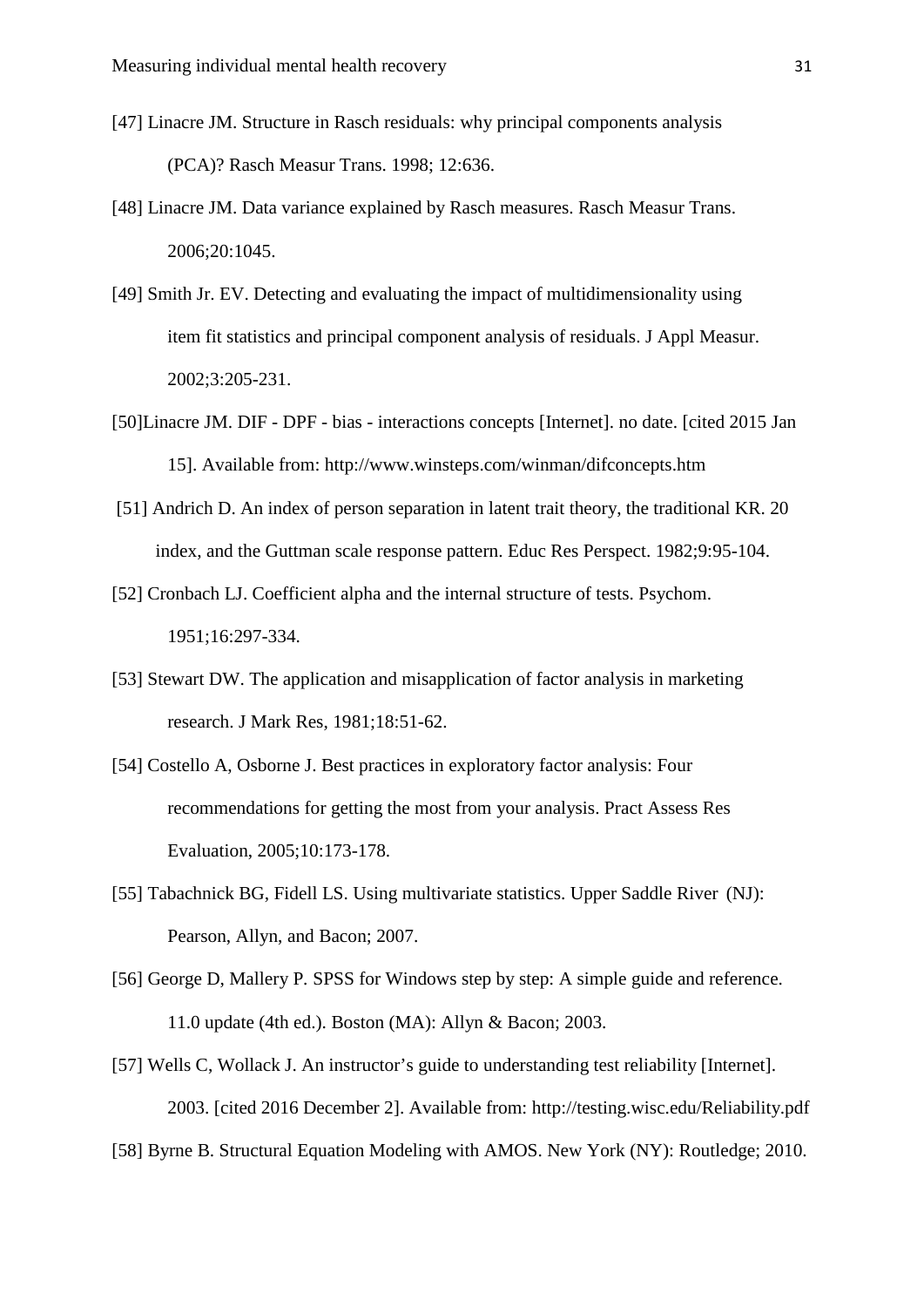- [47] Linacre JM. Structure in Rasch residuals: why principal components analysis (PCA)? Rasch Measur Trans. 1998; 12:636.
- [48] Linacre JM. Data variance explained by Rasch measures. Rasch Measur Trans. 2006;20:1045.
- [49] Smith Jr. EV. Detecting and evaluating the impact of multidimensionality using item fit statistics and principal component analysis of residuals. J Appl Measur. 2002;3:205-231.
- [50]Linacre JM. DIF DPF bias interactions concepts [Internet]. no date. [cited 2015 Jan 15]. Available from: http://www.winsteps.com/winman/difconcepts.htm
- [51] Andrich D. An index of person separation in latent trait theory, the traditional KR. 20 index, and the Guttman scale response pattern. Educ Res Perspect. 1982;9:95-104.
- [52] Cronbach LJ. Coefficient alpha and the internal structure of tests. Psychom. 1951;16:297-334.
- [53] Stewart DW. The application and misapplication of factor analysis in marketing research. J Mark Res, 1981;18:51-62.
- [54] Costello A, Osborne J. Best practices in exploratory factor analysis: Four recommendations for getting the most from your analysis. Pract Assess Res Evaluation, 2005;10:173-178.
- [55] Tabachnick BG, Fidell LS. Using multivariate statistics. Upper Saddle River (NJ): Pearson, Allyn, and Bacon; 2007.
- [56] George D, Mallery P*.* SPSS for Windows step by step: A simple guide and reference. 11.0 update (4th ed.). Boston (MA): Allyn & Bacon; 2003.
- [57] Wells C, Wollack J. An instructor's guide to understanding test reliability [Internet]. 2003. [cited 2016 December 2]. Available from: http://testing.wisc.edu/Reliability.pdf
- [58] Byrne B. Structural Equation Modeling with AMOS. New York (NY): Routledge; 2010.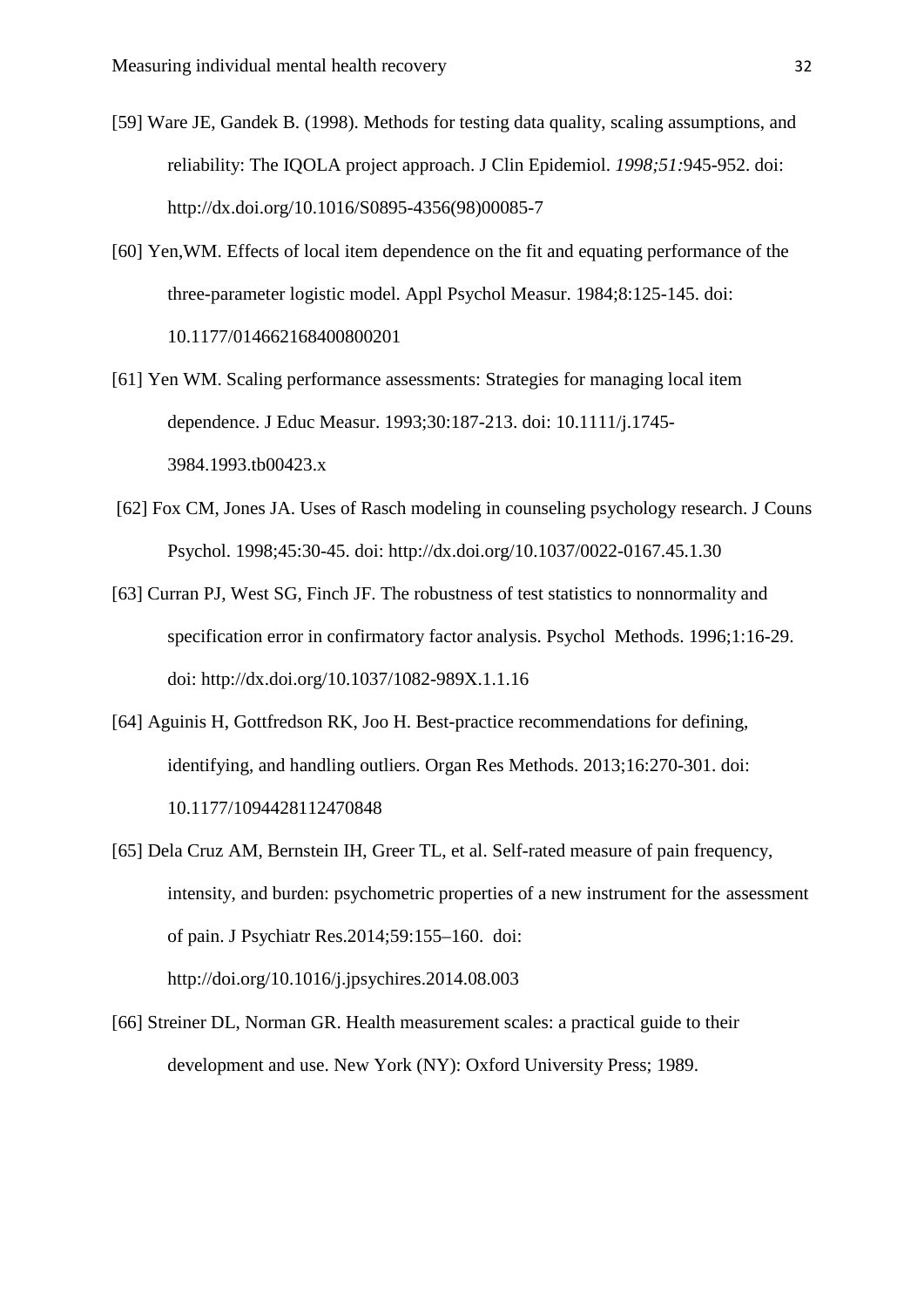- [59] Ware JE, Gandek B. (1998). Methods for testing data quality, scaling assumptions, and reliability: The IQOLA project approach. J Clin Epidemiol. *1998;51:*945-952. doi: http://dx.doi.org/10.1016/S0895-4356(98)00085-7
- [60] Yen,WM. Effects of local item dependence on the fit and equating performance of the three-parameter logistic model. Appl Psychol Measur. 1984;8:125-145. doi: 10.1177/014662168400800201
- [61] Yen WM. Scaling performance assessments: Strategies for managing local item dependence. J Educ Measur. 1993;30:187-213. doi: 10.1111/j.1745- 3984.1993.tb00423.x
- [62] Fox CM, Jones JA. Uses of Rasch modeling in counseling psychology research. J Couns Psychol. 1998;45:30-45. doi: http://dx.doi.org/10.1037/0022-0167.45.1.30
- [63] Curran PJ, West SG, Finch JF. The robustness of test statistics to nonnormality and specification error in confirmatory factor analysis. Psychol Methods. 1996;1:16-29. doi: http://dx.doi.org/10.1037/1082-989X.1.1.16
- [64] Aguinis H, Gottfredson RK, Joo H. Best-practice recommendations for defining, identifying, and handling outliers. Organ Res Methods. 2013;16:270-301. doi: 10.1177/1094428112470848
- [65] Dela Cruz AM, Bernstein IH, Greer TL, et al. Self-rated measure of pain frequency, intensity, and burden: psychometric properties of a new instrument for the assessment of pain. J Psychiatr Res.2014;59:155–160. doi: http://doi.org/10.1016/j.jpsychires.2014.08.003
- [66] Streiner DL, Norman GR. Health measurement scales: a practical guide to their development and use. New York (NY): Oxford University Press; 1989.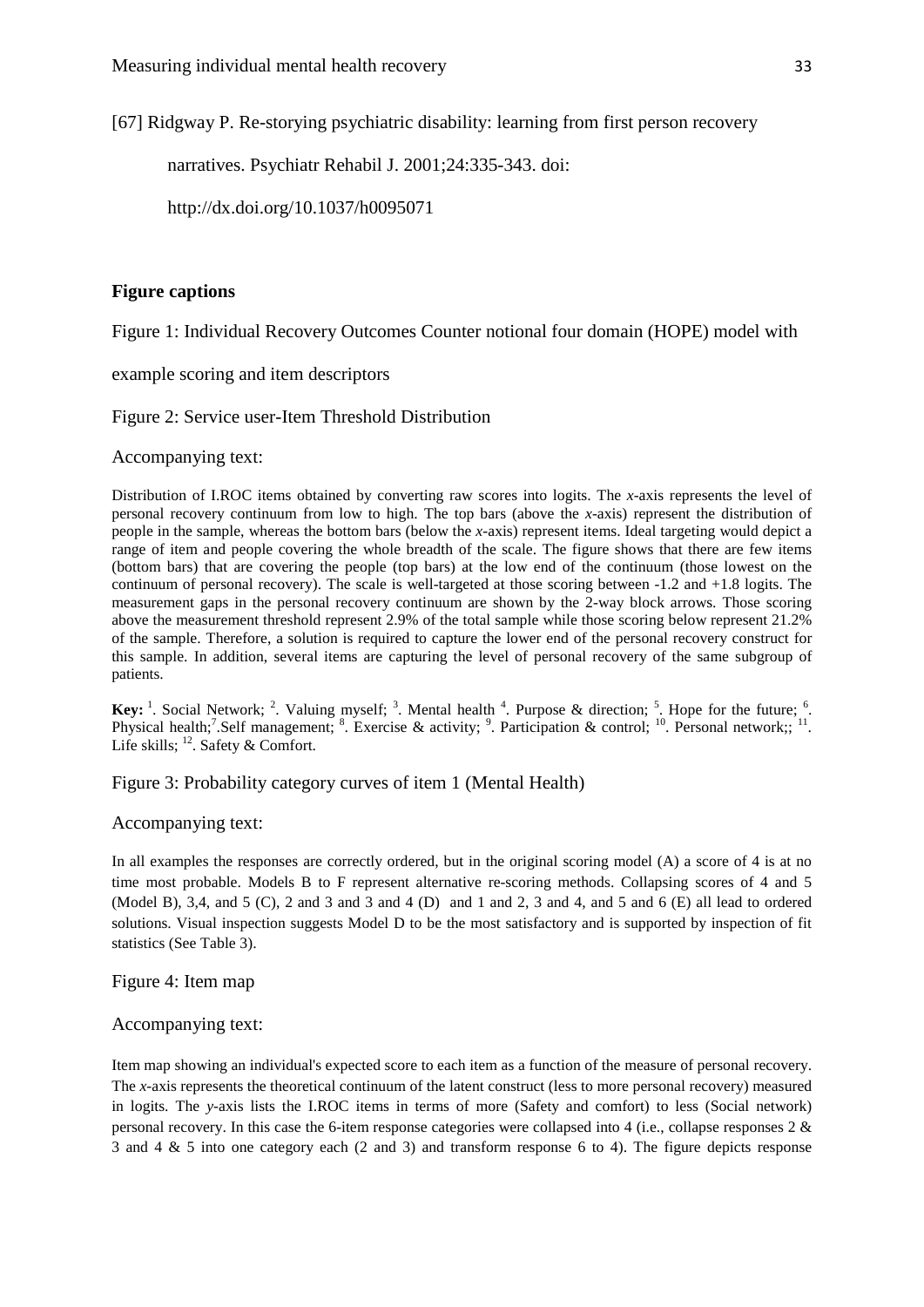[67] Ridgway P. Re-storying psychiatric disability: learning from first person recovery

narratives. Psychiatr Rehabil J. 2001;24:335-343. doi:

http://dx.doi.org/10.1037/h0095071

## **Figure captions**

Figure 1: Individual Recovery Outcomes Counter notional four domain (HOPE) model with

example scoring and item descriptors

Figure 2: Service user-Item Threshold Distribution

Accompanying text:

Distribution of I.ROC items obtained by converting raw scores into logits. The *x*-axis represents the level of personal recovery continuum from low to high. The top bars (above the *x*-axis) represent the distribution of people in the sample, whereas the bottom bars (below the *x*-axis) represent items. Ideal targeting would depict a range of item and people covering the whole breadth of the scale. The figure shows that there are few items (bottom bars) that are covering the people (top bars) at the low end of the continuum (those lowest on the continuum of personal recovery). The scale is well-targeted at those scoring between -1.2 and +1.8 logits. The measurement gaps in the personal recovery continuum are shown by the 2-way block arrows. Those scoring above the measurement threshold represent 2.9% of the total sample while those scoring below represent 21.2% of the sample. Therefore, a solution is required to capture the lower end of the personal recovery construct for this sample. In addition, several items are capturing the level of personal recovery of the same subgroup of patients.

**Key:**  $\frac{1}{2}$ . Social Network;  $\frac{2}{3}$ . Valuing myself;  $\frac{3}{2}$ . Mental health  $\frac{4}{3}$ . Purpose & direction;  $\frac{5}{3}$ . Hope for the future;  $\frac{6}{3}$ . Physical health;<sup>7</sup>.Self management; <sup>8</sup>. Exercise & activity; <sup>9</sup>. Participation & control; <sup>10</sup>. Personal network;; <sup>11</sup>. Life skills;  $^{12}$ . Safety & Comfort.

Figure 3: Probability category curves of item 1 (Mental Health)

Accompanying text:

In all examples the responses are correctly ordered, but in the original scoring model (A) a score of 4 is at no time most probable. Models B to F represent alternative re-scoring methods. Collapsing scores of 4 and 5 (Model B), 3,4, and 5 (C), 2 and 3 and 3 and 4 (D) and 1 and 2, 3 and 4, and 5 and 6 (E) all lead to ordered solutions. Visual inspection suggests Model D to be the most satisfactory and is supported by inspection of fit statistics (See Table 3).

Figure 4: Item map

Accompanying text:

Item map showing an individual's expected score to each item as a function of the measure of personal recovery. The *x-*axis represents the theoretical continuum of the latent construct (less to more personal recovery) measured in logits. The *y-*axis lists the I.ROC items in terms of more (Safety and comfort) to less (Social network) personal recovery. In this case the 6-item response categories were collapsed into 4 (i.e., collapse responses 2 & 3 and 4 & 5 into one category each (2 and 3) and transform response 6 to 4). The figure depicts response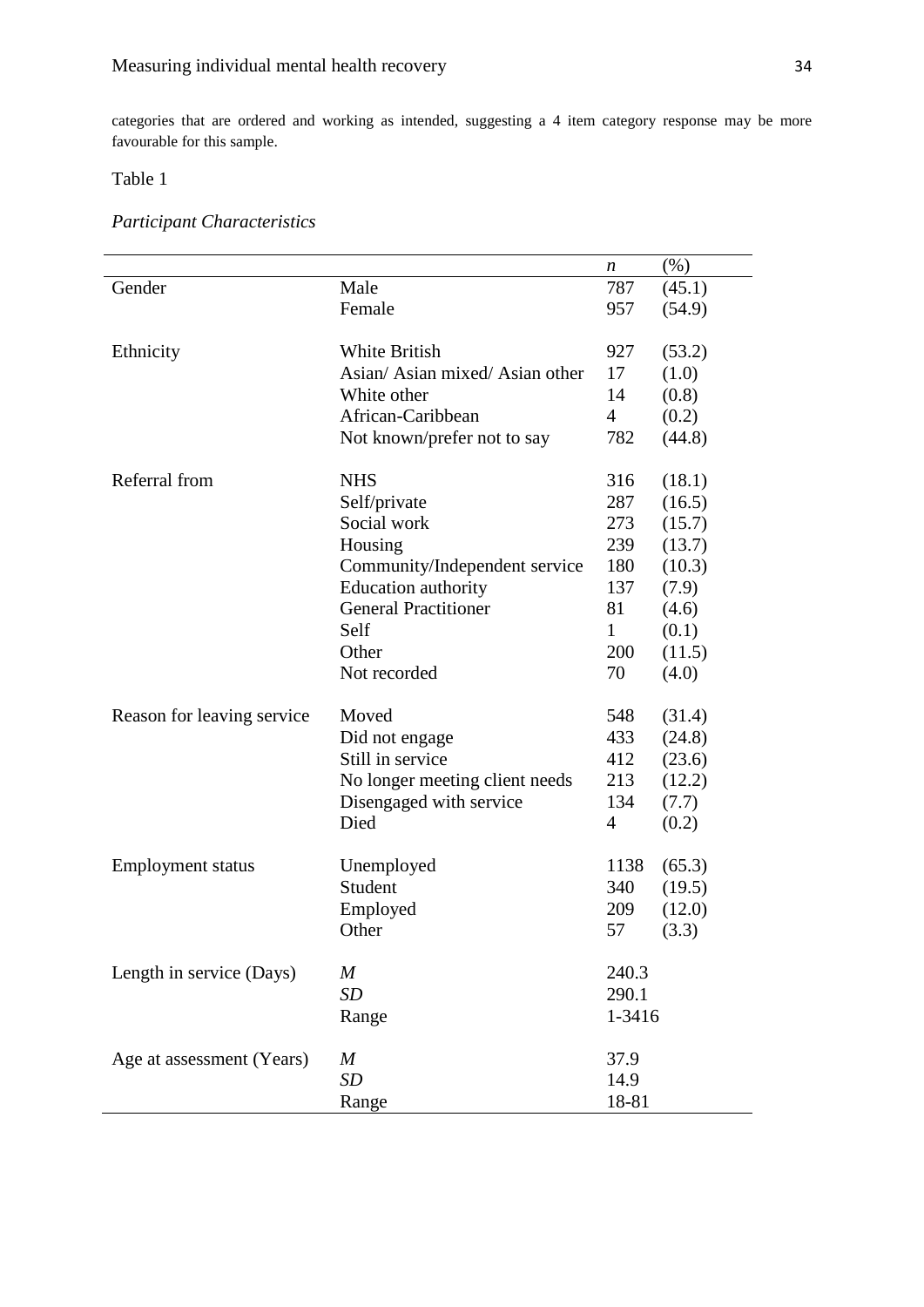categories that are ordered and working as intended, suggesting a 4 item category response may be more favourable for this sample.

# Table 1

|                            |                                 | n              | $(\% )$ |  |
|----------------------------|---------------------------------|----------------|---------|--|
| Gender                     | Male                            | 787            | (45.1)  |  |
|                            | Female                          | 957            | (54.9)  |  |
| Ethnicity                  | <b>White British</b>            | 927            | (53.2)  |  |
|                            | Asian/ Asian mixed/ Asian other | 17             | (1.0)   |  |
|                            | White other                     | 14             | (0.8)   |  |
|                            | African-Caribbean               | $\overline{4}$ | (0.2)   |  |
|                            | Not known/prefer not to say     | 782            | (44.8)  |  |
| Referral from              | <b>NHS</b>                      | 316            | (18.1)  |  |
|                            | Self/private                    | 287            | (16.5)  |  |
|                            | Social work                     | 273            | (15.7)  |  |
|                            | Housing                         | 239            | (13.7)  |  |
|                            | Community/Independent service   | 180            | (10.3)  |  |
|                            | Education authority             | 137            | (7.9)   |  |
|                            | <b>General Practitioner</b>     | 81             | (4.6)   |  |
|                            | Self                            | $\mathbf{1}$   | (0.1)   |  |
|                            | Other                           | 200            | (11.5)  |  |
|                            | Not recorded                    | 70             | (4.0)   |  |
| Reason for leaving service | Moved                           | 548            | (31.4)  |  |
|                            | Did not engage                  | 433            | (24.8)  |  |
|                            | Still in service                | 412            | (23.6)  |  |
|                            | No longer meeting client needs  | 213            | (12.2)  |  |
|                            | Disengaged with service         | 134            | (7.7)   |  |
|                            | Died                            | 4              | (0.2)   |  |
| <b>Employment status</b>   | Unemployed                      | 1138           | (65.3)  |  |
|                            | Student                         | 340            | (19.5)  |  |
|                            | Employed                        | 209            | (12.0)  |  |
|                            | Other                           | 57             | (3.3)   |  |
| Length in service (Days)   | $\boldsymbol{M}$                | 240.3          |         |  |
|                            | <b>SD</b>                       | 290.1          |         |  |
|                            | Range                           | 1-3416         |         |  |
| Age at assessment (Years)  | $\boldsymbol{M}$                | 37.9           |         |  |
|                            | SD                              | 14.9           |         |  |
|                            | Range                           | 18-81          |         |  |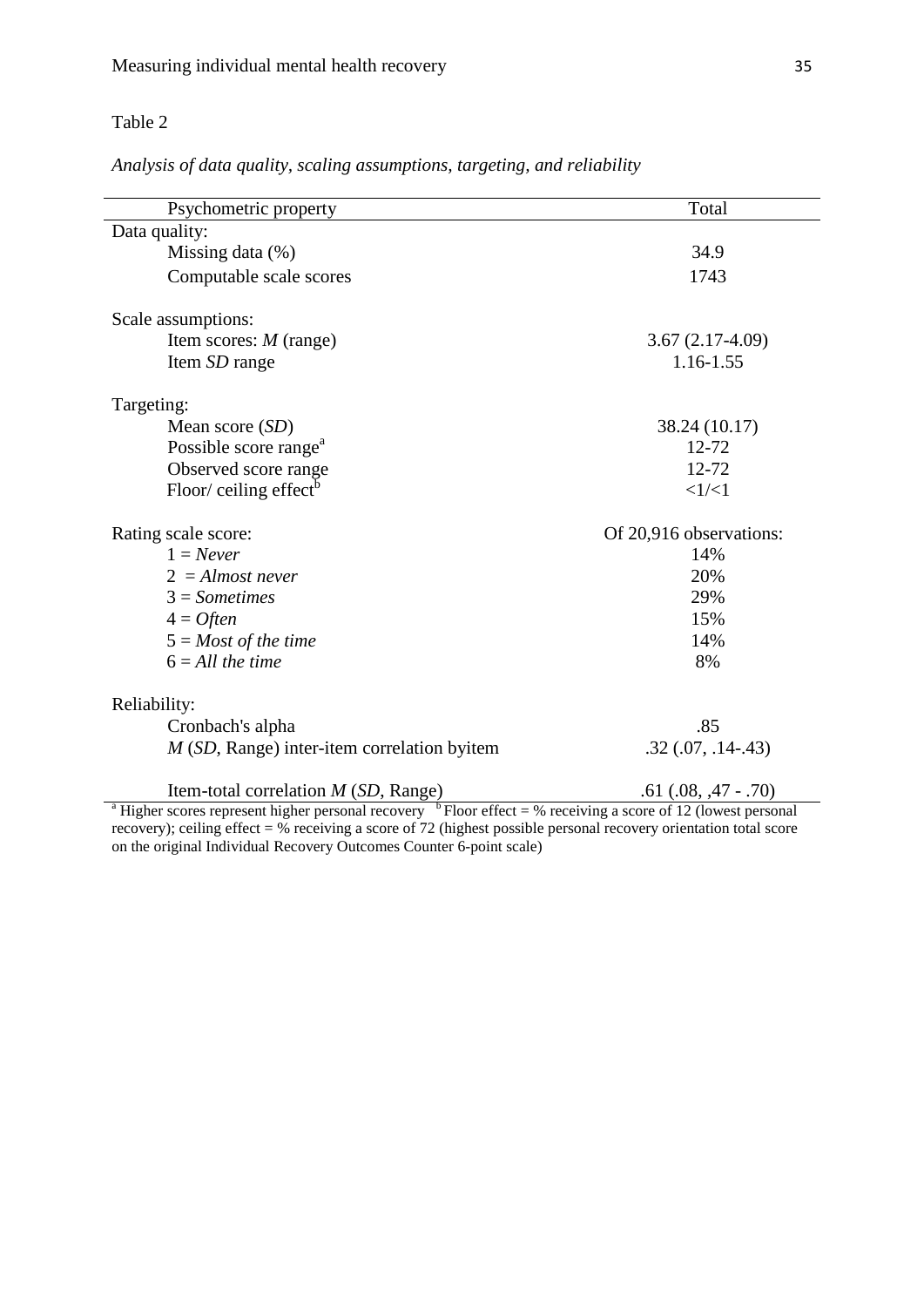## Table 2

*Analysis of data quality, scaling assumptions, targeting, and reliability*

| Psychometric property                                                                                                                | Total                   |  |  |  |  |
|--------------------------------------------------------------------------------------------------------------------------------------|-------------------------|--|--|--|--|
| Data quality:                                                                                                                        |                         |  |  |  |  |
| Missing data $(\%)$                                                                                                                  | 34.9                    |  |  |  |  |
| Computable scale scores                                                                                                              | 1743                    |  |  |  |  |
|                                                                                                                                      |                         |  |  |  |  |
| Scale assumptions:                                                                                                                   |                         |  |  |  |  |
| Item scores: $M$ (range)                                                                                                             | $3.67(2.17-4.09)$       |  |  |  |  |
| Item SD range                                                                                                                        | 1.16-1.55               |  |  |  |  |
| Targeting:                                                                                                                           |                         |  |  |  |  |
| Mean score (SD)                                                                                                                      | 38.24 (10.17)           |  |  |  |  |
| Possible score range <sup>a</sup>                                                                                                    | 12-72                   |  |  |  |  |
| Observed score range                                                                                                                 | $12 - 72$               |  |  |  |  |
| Floor/ceiling effect $\delta$                                                                                                        | <1/ <1                  |  |  |  |  |
| Rating scale score:                                                                                                                  | Of 20,916 observations: |  |  |  |  |
| $1 = Never$                                                                                                                          | 14%                     |  |  |  |  |
| $2 =$ Almost never                                                                                                                   | 20%                     |  |  |  |  |
| $3 = Sometimes$                                                                                                                      | 29%                     |  |  |  |  |
| $4 =$ Often                                                                                                                          | 15%                     |  |  |  |  |
| $5 = Most of the time$                                                                                                               | 14%                     |  |  |  |  |
| $6 = All$ the time                                                                                                                   | 8%                      |  |  |  |  |
| Reliability:                                                                                                                         |                         |  |  |  |  |
| Cronbach's alpha                                                                                                                     | .85                     |  |  |  |  |
| $M(SD, Range)$ inter-item correlation byitem                                                                                         | $.32$ $(.07, .14-.43)$  |  |  |  |  |
| Item-total correlation $M(SD, Range)$                                                                                                | $.61(.08, .47-.70)$     |  |  |  |  |
| <sup>a</sup> Higher scores represent higher personal recovery <sup>b</sup> Floor effect = % receiving a score of 12 (lowest personal |                         |  |  |  |  |

recovery); ceiling effect = % receiving a score of 72 (highest possible personal recovery orientation total score on the original Individual Recovery Outcomes Counter 6-point scale)